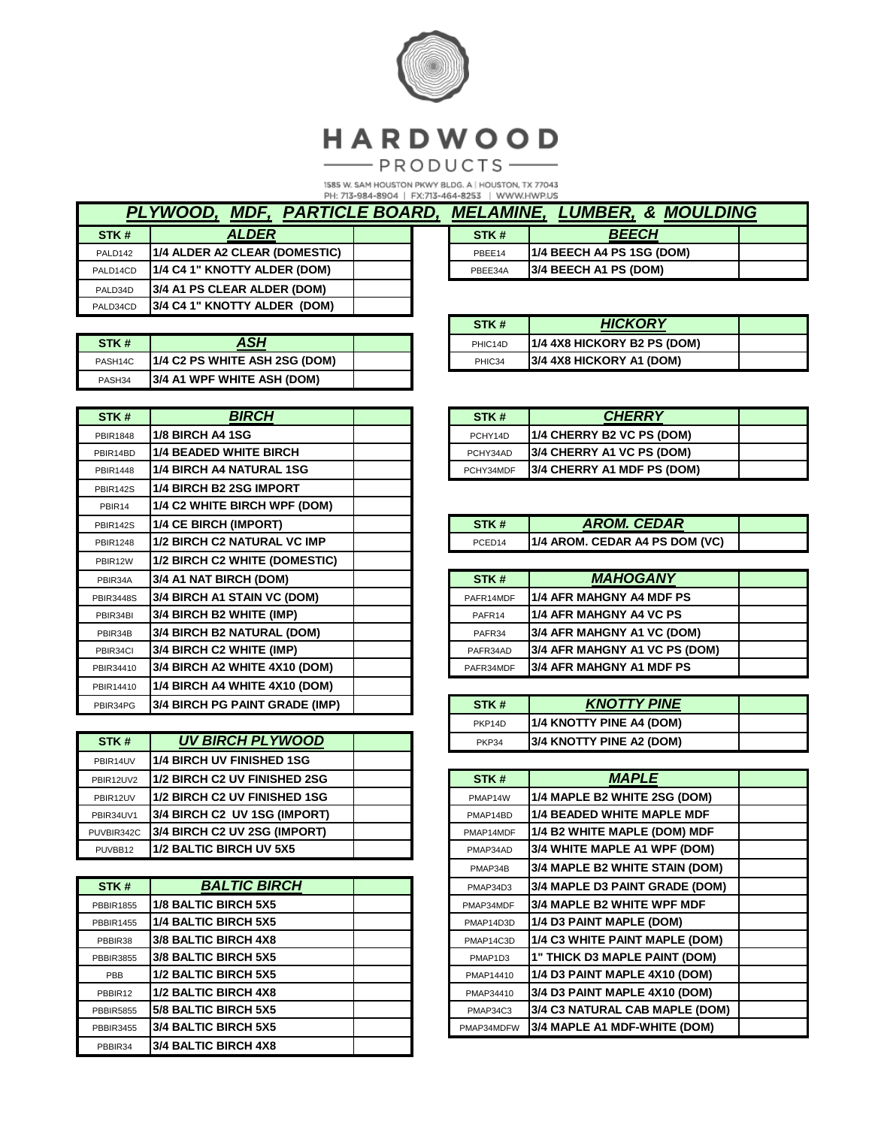

# HARDWOOD

 $-$ PRODUCTS-

1585 W. SAM HOUSTON PKWY BLDG. A | HOUSTON, TX 77043<br>PH: 713-984-8904 | FX:713-464-8253 | WWW.HWP.US

| PLYWOOD, MDF, PARTICLE BOARD, |                               |  |  |
|-------------------------------|-------------------------------|--|--|
| STK#                          | <b>ALDER</b>                  |  |  |
| PALD142                       | 1/4 ALDER A2 CLEAR (DOMESTIC) |  |  |
| PALD14CD                      | 1/4 C4 1" KNOTTY ALDER (DOM)  |  |  |
| PALD34D                       | 3/4 A1 PS CLEAR ALDER (DOM)   |  |  |
| PALD34CD                      | 3/4 C4 1" KNOTTY ALDER (DOM)  |  |  |

| STK#                | ASH                            |  |
|---------------------|--------------------------------|--|
| PASH <sub>14C</sub> | [1/4 C2 PS WHITE ASH 2SG (DOM) |  |
| PASH <sub>34</sub>  | 3/4 A1 WPF WHITE ASH (DOM)     |  |

| STK#             | <i><b>BIRCH</b></i>                   |  |
|------------------|---------------------------------------|--|
| PBIR1848         | <b>1/8 BIRCH A4 1SG</b>               |  |
| PBIR14BD         | <b>1/4 BEADED WHITE BIRCH</b>         |  |
| <b>PBIR1448</b>  | <b>1/4 BIRCH A4 NATURAL 1SG</b>       |  |
| <b>PBIR142S</b>  | <b>1/4 BIRCH B2 2SG IMPORT</b>        |  |
| PBIR14           | 1/4 C2 WHITE BIRCH WPF (DOM)          |  |
| <b>PBIR142S</b>  | 1/4 CE BIRCH (IMPORT)                 |  |
| <b>PBIR1248</b>  | <b>1/2 BIRCH C2 NATURAL VC IMP</b>    |  |
| PBIR12W          | 1/2 BIRCH C2 WHITE (DOMESTIC)         |  |
| PBIR34A          | 3/4 A1 NAT BIRCH (DOM)                |  |
| <b>PBIR3448S</b> | 3/4 BIRCH A1 STAIN VC (DOM)           |  |
| PBIR34BI         | 3/4 BIRCH B2 WHITE (IMP)              |  |
| PBIR34B          | <b>3/4 BIRCH B2 NATURAL (DOM)</b>     |  |
| PBIR34CI         | 3/4 BIRCH C2 WHITE (IMP)              |  |
| PBIR34410        | 3/4 BIRCH A2 WHITE 4X10 (DOM)         |  |
| PBIR14410        | 1/4 BIRCH A4 WHITE 4X10 (DOM)         |  |
| PBIR34PG         | <b>3/4 BIRCH PG PAINT GRADE (IMP)</b> |  |

| STK#       | <b>UV BIRCH PLYWOOD</b>          |  |
|------------|----------------------------------|--|
| PBIR14UV   | <b>1/4 BIRCH UV FINISHED 1SG</b> |  |
| PBIR12UV2  | 1/2 BIRCH C2 UV FINISHED 2SG     |  |
| PBIR12UV   | 1/2 BIRCH C2 UV FINISHED 1SG     |  |
| PBIR34UV1  | 3/4 BIRCH C2 UV 1SG (IMPORT)     |  |
| PUVBIR342C | 3/4 BIRCH C2 UV 2SG (IMPORT)     |  |
| PUVBB12    | 1/2 BALTIC BIRCH UV 5X5          |  |

| STK#             | <b>BALTIC BIRCH</b>         |  |
|------------------|-----------------------------|--|
| PBBIR1855        | 1/8 BALTIC BIRCH 5X5        |  |
| PBBIR1455        | <b>1/4 BALTIC BIRCH 5X5</b> |  |
| PBBIR38          | 3/8 BALTIC BIRCH 4X8        |  |
| PBBIR3855        | 3/8 BALTIC BIRCH 5X5        |  |
| PBB              | 1/2 BALTIC BIRCH 5X5        |  |
| PBBIR12          | <b>1/2 BALTIC BIRCH 4X8</b> |  |
| <b>PBBIR5855</b> | 5/8 BALTIC BIRCH 5X5        |  |
| PBBIR3455        | 3/4 BALTIC BIRCH 5X5        |  |
| PBBIR34          | <b>3/4 BALTIC BIRCH 4X8</b> |  |

| <b>MELAMINE, LUMBER, &amp; MOULDING</b> |                           |  |  |
|-----------------------------------------|---------------------------|--|--|
| STK#                                    | <b>BEECH</b>              |  |  |
| PBEE14                                  | 1/4 BEECH A4 PS 1SG (DOM) |  |  |
| PBEE34A                                 | 3/4 BEECH A1 PS (DOM)     |  |  |

| STK#    | <b>HICKORY</b>              |  |
|---------|-----------------------------|--|
| PHIC14D | 1/4 4X8 HICKORY B2 PS (DOM) |  |
| PHIC34  | 3/4 4X8 HICKORY A1 (DOM)    |  |

| STK#      | <b>CHERRY</b>                    |  |
|-----------|----------------------------------|--|
| PCHY14D   | <b>1/4 CHERRY B2 VC PS (DOM)</b> |  |
| PCHY34AD  | 3/4 CHERRY A1 VC PS (DOM)        |  |
| PCHY34MDF | 3/4 CHERRY A1 MDF PS (DOM)       |  |

| STK #  | <b>AROM. CEDAR</b>             |  |
|--------|--------------------------------|--|
| PCEN14 | 1/4 AROM. CEDAR A4 PS DOM (VC) |  |

| STK#               | <b>MAHOGANY</b>               |  |
|--------------------|-------------------------------|--|
| PAFR14MDF          | 1/4 AFR MAHGNY A4 MDF PS      |  |
| PAFR <sub>14</sub> | 1/4 AFR MAHGNY A4 VC PS       |  |
| PAFR34             | 3/4 AFR MAHGNY A1 VC (DOM)    |  |
| PAFR34AD           | 3/4 AFR MAHGNY A1 VC PS (DOM) |  |
| PAFR34MDF          | 3/4 AFR MAHGNY A1 MDF PS      |  |

| STK#                | <b>KNOTTY PINE</b>       |  |
|---------------------|--------------------------|--|
| PKP <sub>14</sub> D | 1/4 KNOTTY PINE A4 (DOM) |  |
| PKP34               | 3/4 KNOTTY PINE A2 (DOM) |  |

| STK#       | <b>MAPLE</b>                      |  |
|------------|-----------------------------------|--|
| PMAP14W    | 1/4 MAPLE B2 WHITE 2SG (DOM)      |  |
| PMAP14BD   | <b>1/4 BEADED WHITE MAPLE MDF</b> |  |
| PMAP14MDF  | 1/4 B2 WHITE MAPLE (DOM) MDF      |  |
| PMAP34AD   | 3/4 WHITE MAPLE A1 WPF (DOM)      |  |
| PMAP34B    | 3/4 MAPLE B2 WHITE STAIN (DOM)    |  |
| PMAP34D3   | 3/4 MAPLE D3 PAINT GRADE (DOM)    |  |
| PMAP34MDF  | 3/4 MAPLE B2 WHITE WPF MDF        |  |
| PMAP14D3D  | 1/4 D3 PAINT MAPLE (DOM)          |  |
| PMAP14C3D  | 1/4 C3 WHITE PAINT MAPLE (DOM)    |  |
| PMAP1D3    | 1" THICK D3 MAPLE PAINT (DOM)     |  |
| PMAP14410  | 1/4 D3 PAINT MAPLE 4X10 (DOM)     |  |
| PMAP34410  | 3/4 D3 PAINT MAPLE 4X10 (DOM)     |  |
| PMAP34C3   | 3/4 C3 NATURAL CAB MAPLE (DOM)    |  |
| PMAP34MDFW | 3/4 MAPLE A1 MDF-WHITE (DOM)      |  |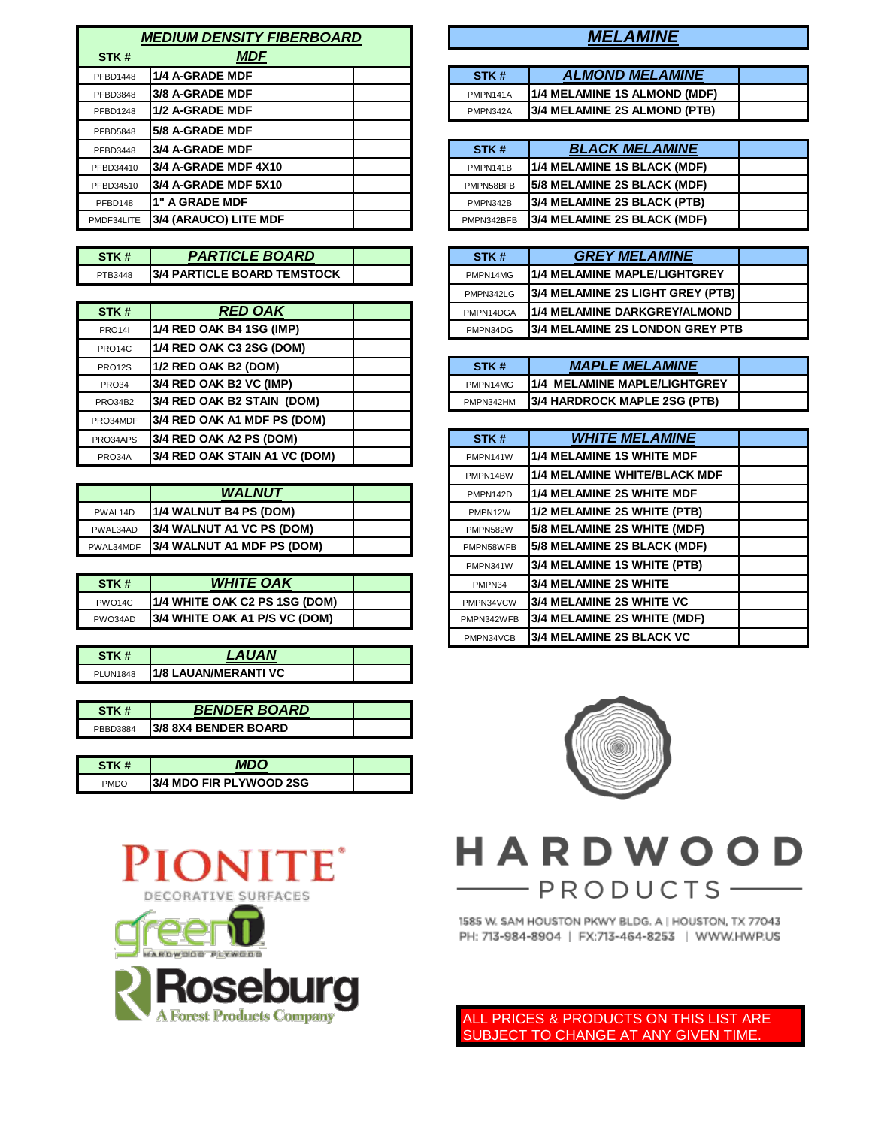| <b>MEDIUM DENSITY FIBERBOARD</b> |                        |  | <b>MELAMINE</b> |                              |
|----------------------------------|------------------------|--|-----------------|------------------------------|
| STK#                             | <b>MDF</b>             |  |                 |                              |
| PFBD1448                         | 1/4 A-GRADE MDF        |  | STK#            | <b>ALMOND MELAMINE</b>       |
| PFBD3848                         | 3/8 A-GRADE MDF        |  | PMPN141A        | 1/4 MELAMINE 1S ALMOND (MDF) |
| <b>PFBD1248</b>                  | 1/2 A-GRADE MDF        |  | PMPN342A        | 3/4 MELAMINE 2S ALMOND (PTB) |
| <b>PFBD5848</b>                  | <b>5/8 A-GRADE MDF</b> |  |                 |                              |
| PFBD3448                         | 3/4 A-GRADE MDF        |  | STK#            | <b>BLACK MELAMINE</b>        |
| PFBD34410                        | 3/4 A-GRADE MDF 4X10   |  | PMPN141B        | 1/4 MELAMINE 1S BLACK (MDF)  |
| PFBD34510                        | 3/4 A-GRADE MDF 5X10   |  | PMPN58BFB       | 5/8 MELAMINE 2S BLACK (MDF)  |
| PFBD148                          | 1" A GRADE MDF         |  | PMPN342B        | 3/4 MELAMINE 2S BLACK (PTB)  |
| PMDF34LITE                       | 3/4 (ARAUCO) LITE MDF  |  | PMPN342BFB      | 3/4 MELAMINE 2S BLACK (MDF)  |

**STK # PARTICLE BOARD PTB3448** 3/4 PARTICLE BOARD TEMSTOCK

| STK#          | <b>RED OAK</b>                |  | PMPN14DGA | 1/4 MELAMINE DARKGREY/ALMOND        |
|---------------|-------------------------------|--|-----------|-------------------------------------|
| <b>PRO141</b> | 1/4 RED OAK B4 1SG (IMP)      |  | PMPN34DG  | l3/4 MELAMINE 2S LONDON GREY PTB    |
| PRO14C        | 1/4 RED OAK C3 2SG (DOM)      |  |           |                                     |
| PRO12S        | 1/2 RED OAK B2 (DOM)          |  | STK#      | <b>MAPLE MELAMINE</b>               |
| <b>PRO34</b>  | 3/4 RED OAK B2 VC (IMP)       |  | PMPN14MG  | 1/4 MELAMINE MAPLE/LIGHTGREY        |
| PRO34B2       | 3/4 RED OAK B2 STAIN (DOM)    |  | PMPN342HM | <b>3/4 HARDROCK MAPLE 2SG (PTB)</b> |
| PRO34MDF      | 3/4 RED OAK A1 MDF PS (DOM)   |  |           |                                     |
| PRO34APS      | 3/4 RED OAK A2 PS (DOM)       |  | STK#      | <b><i>WHITE MELAMINE</i></b>        |
| PRO34A        | 3/4 RED OAK STAIN A1 VC (DOM) |  | PMPN141W  | 1/4 MELAMINE 1S WHITE MDF           |

|           | <b>WALNUT</b>                      |  | PMPN142D        | <b>11/4 MELAMINE 2S WHITE MDF</b>   |
|-----------|------------------------------------|--|-----------------|-------------------------------------|
| PWAL14D   | <b>11/4 WALNUT B4 PS (DOM)</b>     |  | PMPN12W         | 11/2 MELAMINE 2S WHITE (PTB)        |
| PWAL34AD  | <b>13/4 WALNUT A1 VC PS (DOM)</b>  |  | <b>PMPN582W</b> | <b>15/8 MELAMINE 2S WHITE (MDF)</b> |
| PWAL34MDF | <b>13/4 WALNUT A1 MDF PS (DOM)</b> |  | PMPN58WFB       | <b>15/8 MELAMINE 2S BLACK (MDF)</b> |

| STK #               | <b>WHITE OAK</b>               |  | PMPN34     | <b>13/4 MELAMINE 2S WHITE</b>       |
|---------------------|--------------------------------|--|------------|-------------------------------------|
| PWO <sub>14</sub> C | 1/4 WHITE OAK C2 PS 1SG (DOM)  |  | PMPN34VCW  | <b>13/4 MELAMINE 2S WHITE VC</b>    |
| PWO34AD             | I3/4 WHITE OAK A1 P/S VC (DOM) |  | PMPN342WFB | <b>13/4 MELAMINE 2S WHITE (MDF)</b> |
|                     |                                |  |            |                                     |

|                 | <b>LAUAN</b>                 |  |
|-----------------|------------------------------|--|
| <b>PLUN1848</b> | <b>11/8 LAUAN/MERANTI VC</b> |  |

| STK #    | <b>BENDER BOARD</b>         |  |
|----------|-----------------------------|--|
| PRRD3884 | <b>3/8 8X4 BENDER BOARD</b> |  |

| STK#        | MDC                             |  |
|-------------|---------------------------------|--|
| <b>PMDO</b> | <b>13/4 MDO FIR PLYWOOD 2SG</b> |  |



## *MEDIUM DENSITY FIBERBOARD MELAMINE*

| STK#     | <b>ALMOND MELAMINE</b>              |  |
|----------|-------------------------------------|--|
| PMPN141A | 1/4 MELAMINE 1S ALMOND (MDF)        |  |
| PMPN342A | <b>3/4 MELAMINE 2S ALMOND (PTB)</b> |  |

| STK#       | <b>BLACK MELAMINE</b>              |  |
|------------|------------------------------------|--|
| PMPN141B   | 1/4 MELAMINE 1S BLACK (MDF)        |  |
| PMPN58BFB  | 5/8 MELAMINE 2S BLACK (MDF)        |  |
| PMPN342B   | 3/4 MELAMINE 2S BLACK (PTB)        |  |
| PMPN342BFB | <b>3/4 MELAMINE 2S BLACK (MDF)</b> |  |

| STK#      | <b>GREY MELAMINE</b>                    |  |
|-----------|-----------------------------------------|--|
| PMPN14MG  | <b>11/4 MELAMINE MAPLE/LIGHTGREY</b>    |  |
| PMPN342LG | 3/4 MELAMINE 2S LIGHT GREY (PTB)        |  |
| PMPN14DGA | 1/4 MELAMINE DARKGREY/ALMOND            |  |
| PMPN34DG  | <b>13/4 MELAMINE 2S LONDON GREY PTB</b> |  |

| STK#      | <b>MAPLE MELAMINE</b>               |  |
|-----------|-------------------------------------|--|
| PMPN14MG  | 1/4 MELAMINE MAPLE/LIGHTGREY        |  |
| PMPN342HM | <b>3/4 HARDROCK MAPLE 2SG (PTB)</b> |  |

| (A2 PS (DOM)       | STK#       | <b><i>WHITE MELAMINE</i></b>        |  |
|--------------------|------------|-------------------------------------|--|
| (STAIN A1 VC (DOM) | PMPN141W   | 1/4 MELAMINE 1S WHITE MDF           |  |
|                    | PMPN14BW   | <b>1/4 MELAMINE WHITE/BLACK MDF</b> |  |
| <b>WALNUT</b>      | PMPN142D   | 1/4 MELAMINE 2S WHITE MDF           |  |
| <b>B4 PS (DOM)</b> | PMPN12W    | 1/2 MELAMINE 2S WHITE (PTB)         |  |
| A1 VC PS (DOM)     | PMPN582W   | 5/8 MELAMINE 2S WHITE (MDF)         |  |
| A1 MDF PS (DOM)    | PMPN58WFB  | 5/8 MELAMINE 2S BLACK (MDF)         |  |
|                    | PMPN341W   | 3/4 MELAMINE 1S WHITE (PTB)         |  |
| <b>HITE OAK</b>    | PMPN34     | 3/4 MELAMINE 2S WHITE               |  |
| AK C2 PS 1SG (DOM) | PMPN34VCW  | <b>3/4 MELAMINE 2S WHITE VC</b>     |  |
| AK A1 P/S VC (DOM) | PMPN342WFB | 3/4 MELAMINE 2S WHITE (MDF)         |  |
|                    | PMPN34VCB  | <b>3/4 MELAMINE 2S BLACK VC</b>     |  |



# HARDWOOD - PRODUCTS-

1585 W. SAM HOUSTON PKWY BLDG. A | HOUSTON, TX 77043 PH: 713-984-8904 | FX:713-464-8253 | WWW.HWP.US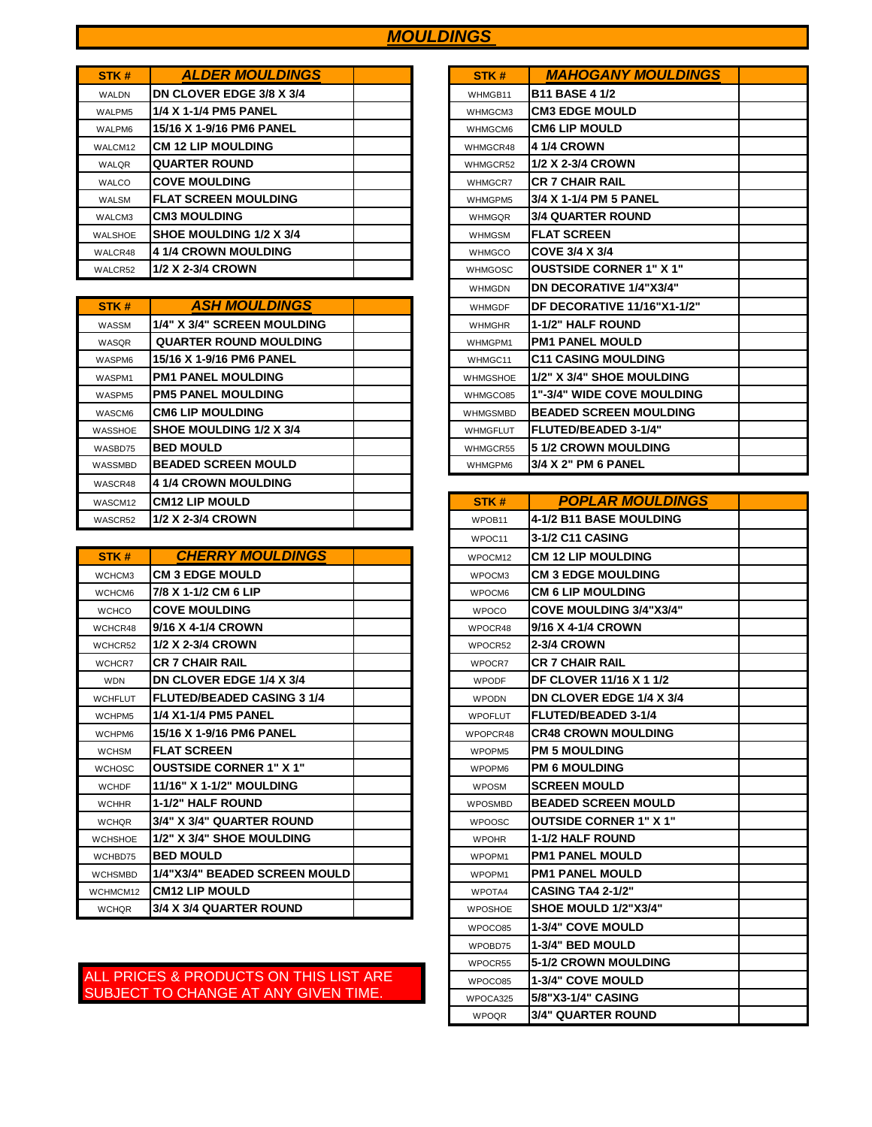## *MOULDINGS*

| STK#         | <b>ALDER MOULDINGS</b>      |  | STK#           | <b>MAHOGANY MOULDINGS</b>      |
|--------------|-----------------------------|--|----------------|--------------------------------|
| <b>WALDN</b> | DN CLOVER EDGE 3/8 X 3/4    |  | WHMGB11        | <b>B11 BASE 4 1/2</b>          |
| WALPM5       | 1/4 X 1-1/4 PM5 PANEL       |  | WHMGCM3        | <b>CM3 EDGE MOULD</b>          |
| WALPM6       | 15/16 X 1-9/16 PM6 PANEL    |  | WHMGCM6        | <b>CM6 LIP MOULD</b>           |
| WALCM12      | <b>CM 12 LIP MOULDING</b>   |  | WHMGCR48       | <b>4 1/4 CROWN</b>             |
| WALQR        | <b>QUARTER ROUND</b>        |  | WHMGCR52       | 1/2 X 2-3/4 CROWN              |
| <b>WALCO</b> | <b>COVE MOULDING</b>        |  | WHMGCR7        | <b>CR 7 CHAIR RAIL</b>         |
| <b>WALSM</b> | <b>FLAT SCREEN MOULDING</b> |  | WHMGPM5        | 3/4 X 1-1/4 PM 5 PANEL         |
| WALCM3       | <b>CM3 MOULDING</b>         |  | <b>WHMGQR</b>  | <b>3/4 QUARTER ROUND</b>       |
| WALSHOE      | SHOE MOULDING 1/2 X 3/4     |  | <b>WHMGSM</b>  | <b>IFLAT SCREEN</b>            |
| WALCR48      | 4 1/4 CROWN MOULDING        |  | <b>WHMGCO</b>  | COVE 3/4 X 3/4                 |
| WALCR52      | 1/2 X 2-3/4 CROWN           |  | <b>WHMGOSC</b> | <b>OUSTSIDE CORNER 1" X 1"</b> |

| STK#    | <b>ASH MOULDINGS</b>          |  | <b>WHMGDF</b>   | DF DECORATIVE 11/16"X1-1/2"       |
|---------|-------------------------------|--|-----------------|-----------------------------------|
| WASSM   | 1/4" X 3/4" SCREEN MOULDING   |  | <b>WHMGHR</b>   | 1-1/2" HALF ROUND                 |
| WASQR   | <b>QUARTER ROUND MOULDING</b> |  | WHMGPM1         | <b>PM1 PANEL MOULD</b>            |
| WASPM6  | 15/16 X 1-9/16 PM6 PANEL      |  | WHMGC11         | <b>C11 CASING MOULDING</b>        |
| WASPM1  | <b>PM1 PANEL MOULDING</b>     |  | <b>WHMGSHOE</b> | 1/2" X 3/4" SHOE MOULDING         |
| WASPM5  | <b>PM5 PANEL MOULDING</b>     |  | WHMGCO85        | <b>1"-3/4" WIDE COVE MOULDING</b> |
| WASCM6  | <b>CM6 LIP MOULDING</b>       |  | <b>WHMGSMBD</b> | <b>BEADED SCREEN MOULDING</b>     |
| WASSHOE | SHOE MOULDING 1/2 X 3/4       |  | <b>WHMGFLUT</b> | FLUTED/BEADED 3-1/4"              |
| WASBD75 | <b>BED MOULD</b>              |  | WHMGCR55        | <b>51/2 CROWN MOULDING</b>        |
| WASSMBD | <b>BEADED SCREEN MOULD</b>    |  | WHMGPM6         | 3/4 X 2" PM 6 PANEL               |
| WASCR48 | <b>4 1/4 CROWN MOULDING</b>   |  |                 |                                   |
| WASCM12 | <b>CM12 LIP MOULD</b>         |  | STK#            | <b>POPLAR MOULDINGS</b>           |
| WASCR52 | 1/2 X 2-3/4 CROWN             |  | WPOB11          | 4-1/2 B11 BASE MOULDING           |

| STK#           | <b>CHERRY MOULDINGS</b>           |  | WPOCM12            | <b>CM 12 LIP MOULDING</b>      |
|----------------|-----------------------------------|--|--------------------|--------------------------------|
| WCHCM3         | <b>CM 3 EDGE MOULD</b>            |  | WPOCM3             | <b>CM 3 EDGE MOULDING</b>      |
| WCHCM6         | 7/8 X 1-1/2 CM 6 LIP              |  | WPOCM6             | <b>CM 6 LIP MOULDING</b>       |
| <b>WCHCO</b>   | <b>COVE MOULDING</b>              |  | <b>WPOCO</b>       | <b>COVE MOULDING 3/4"X3/4"</b> |
| WCHCR48        | 9/16 X 4-1/4 CROWN                |  | WPOCR48            | 9/16 X 4-1/4 CROWN             |
| WCHCR52        | 1/2 X 2-3/4 CROWN                 |  | WPOCR52            | <b>2-3/4 CROWN</b>             |
| WCHCR7         | <b>CR 7 CHAIR RAIL</b>            |  | WPOCR7             | <b>CR 7 CHAIR RAIL</b>         |
| <b>WDN</b>     | DN CLOVER EDGE 1/4 X 3/4          |  | <b>WPODF</b>       | <b>DF CLOVER 11/16 X 1 1/2</b> |
| <b>WCHFLUT</b> | <b>FLUTED/BEADED CASING 3 1/4</b> |  | <b>WPODN</b>       | DN CLOVER EDGE 1/4 X 3/4       |
| WCHPM5         | 1/4 X1-1/4 PM5 PANEL              |  | <b>WPOFLUT</b>     | <b>FLUTED/BEADED 3-1/4</b>     |
| WCHPM6         | 15/16 X 1-9/16 PM6 PANEL          |  | WPOPCR48           | <b>CR48 CROWN MOULDING</b>     |
| <b>WCHSM</b>   | <b>FLAT SCREEN</b>                |  | WPOPM <sub>5</sub> | <b>PM 5 MOULDING</b>           |
| <b>WCHOSC</b>  | <b>OUSTSIDE CORNER 1" X 1"</b>    |  | WPOPM6             | <b>PM 6 MOULDING</b>           |
| <b>WCHDF</b>   | <b>11/16" X 1-1/2" MOULDING</b>   |  | <b>WPOSM</b>       | <b>SCREEN MOULD</b>            |
| <b>WCHHR</b>   | <b>1-1/2" HALF ROUND</b>          |  | <b>WPOSMBD</b>     | <b>BEADED SCREEN MOULD</b>     |
| <b>WCHOR</b>   | 3/4" X 3/4" QUARTER ROUND         |  | <b>WPOOSC</b>      | <b>OUTSIDE CORNER 1" X 1"</b>  |
| <b>WCHSHOE</b> | 1/2" X 3/4" SHOE MOULDING         |  | <b>WPOHR</b>       | <b>1-1/2 HALF ROUND</b>        |
| WCHBD75        | <b>BED MOULD</b>                  |  | WPOPM1             | <b>PM1 PANEL MOULD</b>         |
| <b>WCHSMBD</b> | 1/4"X3/4" BEADED SCREEN MOULD     |  | WPOPM1             | <b>PM1 PANEL MOULD</b>         |
| WCHMCM12       | <b>CM12 LIP MOULD</b>             |  | WPOTA4             | <b>CASING TA4 2-1/2"</b>       |
| <b>WCHQR</b>   | 3/4 X 3/4 QUARTER ROUND           |  | <b>WPOSHOE</b>     | SHOE MOULD 1/2"X3/4"           |
|                |                                   |  |                    |                                |

| STK#            | <b>MAHOGANY MOULDINGS</b>         |  |
|-----------------|-----------------------------------|--|
| WHMGB11         | <b>B11 BASE 4 1/2</b>             |  |
| WHMGCM3         | <b>CM3 EDGE MOULD</b>             |  |
| WHMGCM6         | <b>CM6 LIP MOULD</b>              |  |
| WHMGCR48        | <b>4 1/4 CROWN</b>                |  |
| WHMGCR52        | 1/2 X 2-3/4 CROWN                 |  |
| WHMGCR7         | <b>CR 7 CHAIR RAIL</b>            |  |
| WHMGPM5         | 3/4 X 1-1/4 PM 5 PANEL            |  |
| <b>WHMGOR</b>   | <b>3/4 QUARTER ROUND</b>          |  |
| <b>WHMGSM</b>   | <b>FLAT SCREEN</b>                |  |
| <b>WHMGCO</b>   | COVE 3/4 X 3/4                    |  |
| <b>WHMGOSC</b>  | <b>OUSTSIDE CORNER 1" X 1"</b>    |  |
| <b>WHMGDN</b>   | <b>DN DECORATIVE 1/4"X3/4"</b>    |  |
| <b>WHMGDF</b>   | DF DECORATIVE 11/16"X1-1/2"       |  |
| <b>WHMGHR</b>   | <b>1-1/2" HALF ROUND</b>          |  |
| WHMGPM1         | <b>PM1 PANEL MOULD</b>            |  |
| WHMGC11         | <b>C11 CASING MOULDING</b>        |  |
| <b>WHMGSHOE</b> | 1/2" X 3/4" SHOE MOULDING         |  |
| WHMGCO85        | <b>1"-3/4" WIDE COVE MOULDING</b> |  |
| <b>WHMGSMBD</b> | <b>BEADED SCREEN MOULDING</b>     |  |
| <b>WHMGFLUT</b> | <b>FLUTED/BEADED 3-1/4"</b>       |  |
| WHMGCR55        | <b>51/2 CROWN MOULDING</b>        |  |
| WHMGPM6         | 3/4 X 2" PM 6 PANEL               |  |

| STK #          | <b>POPLAR MOULDINGS</b>         |  |
|----------------|---------------------------------|--|
| WPOB11         | <b>4-1/2 B11 BASE MOULDING</b>  |  |
| WPOC11         | 3-1/2 C11 CASING                |  |
| WPOCM12        | <b>CM 12 LIP MOULDING</b>       |  |
| WPOCM3         | <b>CM 3 EDGE MOULDING</b>       |  |
| WPOCM6         | <b>CM 6 LIP MOULDING</b>        |  |
| <b>WPOCO</b>   | <b>COVE MOULDING 3/4"X3/4"</b>  |  |
| WPOCR48        | 9/16 X 4-1/4 CROWN              |  |
| WPOCR52        | <b>2-3/4 CROWN</b>              |  |
| WPOCR7         | <b>CR 7 CHAIR RAIL</b>          |  |
| <b>WPODF</b>   | DF CLOVER 11/16 X 1 1/2         |  |
| <b>WPODN</b>   | <b>DN CLOVER EDGE 1/4 X 3/4</b> |  |
| <b>WPOFLUT</b> | <b>FLUTED/BEADED 3-1/4</b>      |  |
| WPOPCR48       | <b>CR48 CROWN MOULDING</b>      |  |
| WPOPM5         | <b>PM 5 MOULDING</b>            |  |
| WPOPM6         | <b>PM 6 MOULDING</b>            |  |
| <b>WPOSM</b>   | <b>SCREEN MOULD</b>             |  |
| <b>WPOSMBD</b> | <b>BEADED SCREEN MOULD</b>      |  |
| <b>WPOOSC</b>  | <b>OUTSIDE CORNER 1" X 1"</b>   |  |
| <b>WPOHR</b>   | <b>1-1/2 HALF ROUND</b>         |  |
| WPOPM1         | <b>PM1 PANEL MOULD</b>          |  |
| WPOPM1         | <b>PM1 PANEL MOULD</b>          |  |
| WPOTA4         | <b>CASING TA4 2-1/2"</b>        |  |
| <b>WPOSHOE</b> | SHOE MOULD 1/2"X3/4"            |  |
| WPOCO85        | 1-3/4" COVE MOULD               |  |
| WPOBD75        | 1-3/4" BED MOULD                |  |
| WPOCR55        | <b>5-1/2 CROWN MOULDING</b>     |  |
| WPOCO85        | <b>1-3/4" COVE MOULD</b>        |  |
| WPOCA325       | 5/8"X3-1/4" CASING              |  |
| <b>WPOOR</b>   | <b>3/4" QUARTER ROUND</b>       |  |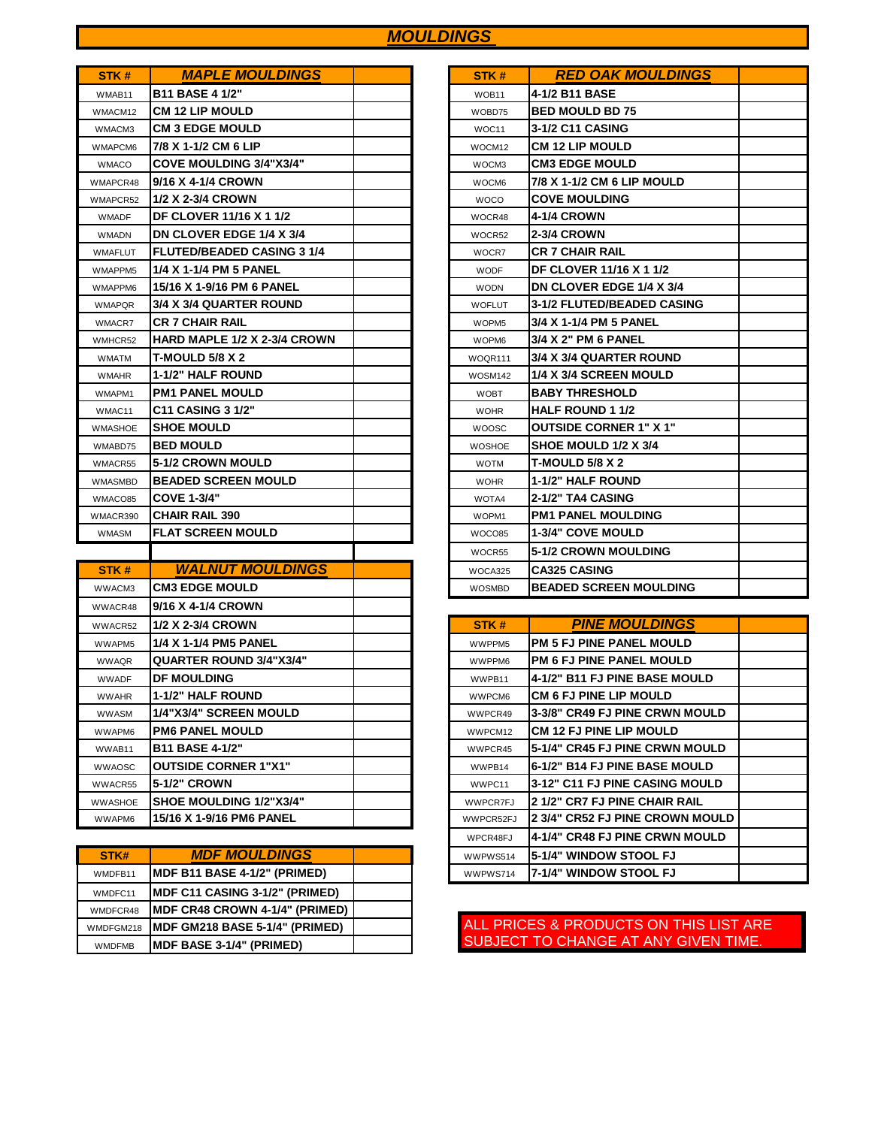## *MOULDINGS*

| STK#           | <b>MAPLE MOULDINGS</b>              | STK#          | <b>RED OAK MOULDINGS</b>        |
|----------------|-------------------------------------|---------------|---------------------------------|
| WMAB11         | <b>B11 BASE 4 1/2"</b>              | WOB11         | 4-1/2 B11 BASE                  |
| WMACM12        | <b>CM 12 LIP MOULD</b>              | WOBD75        | <b>BED MOULD BD 75</b>          |
| WMACM3         | <b>CM 3 EDGE MOULD</b>              | WOC11         | 3-1/2 C11 CASING                |
| WMAPCM6        | 7/8 X 1-1/2 CM 6 LIP                | WOCM12        | <b>CM 12 LIP MOULD</b>          |
| <b>WMACO</b>   | <b>COVE MOULDING 3/4"X3/4"</b>      | WOCM3         | <b>CM3 EDGE MOULD</b>           |
| WMAPCR48       | 9/16 X 4-1/4 CROWN                  | WOCM6         | 7/8 X 1-1/2 CM 6 LIP MOULD      |
| WMAPCR52       | 1/2 X 2-3/4 CROWN                   | <b>WOCO</b>   | <b>COVE MOULDING</b>            |
| <b>WMADF</b>   | <b>DF CLOVER 11/16 X 1 1/2</b>      | WOCR48        | <b>4-1/4 CROWN</b>              |
| <b>WMADN</b>   | DN CLOVER EDGE 1/4 X 3/4            | WOCR52        | <b>2-3/4 CROWN</b>              |
| <b>WMAFLUT</b> | <b>FLUTED/BEADED CASING 3 1/4</b>   | WOCR7         | <b>CR 7 CHAIR RAIL</b>          |
| WMAPPM5        | 1/4 X 1-1/4 PM 5 PANEL              | <b>WODF</b>   | <b>DF CLOVER 11/16 X 1 1/2</b>  |
| WMAPPM6        | 15/16 X 1-9/16 PM 6 PANEL           | <b>WODN</b>   | <b>DN CLOVER EDGE 1/4 X 3/4</b> |
| <b>WMAPQR</b>  | 3/4 X 3/4 QUARTER ROUND             | <b>WOFLUT</b> | 3-1/2 FLUTED/BEADED CASING      |
| WMACR7         | <b>CR 7 CHAIR RAIL</b>              | WOPM5         | 3/4 X 1-1/4 PM 5 PANEL          |
| WMHCR52        | <b>HARD MAPLE 1/2 X 2-3/4 CROWN</b> | WOPM6         | 3/4 X 2" PM 6 PANEL             |
| <b>WMATM</b>   | <b>T-MOULD 5/8 X 2</b>              | WOQR111       | 3/4 X 3/4 QUARTER ROUND         |
| <b>WMAHR</b>   | 1-1/2" HALF ROUND                   | WOSM142       | 1/4 X 3/4 SCREEN MOULD          |
| WMAPM1         | <b>PM1 PANEL MOULD</b>              | <b>WOBT</b>   | <b>BABY THRESHOLD</b>           |
| WMAC11         | <b>C11 CASING 3 1/2"</b>            | <b>WOHR</b>   | <b>HALF ROUND 1 1/2</b>         |
| <b>WMASHOE</b> | <b>SHOE MOULD</b>                   | <b>WOOSC</b>  | <b>OUTSIDE CORNER 1" X 1"</b>   |
| WMABD75        | <b>BED MOULD</b>                    | <b>WOSHOE</b> | SHOE MOULD 1/2 X 3/4            |
| WMACR55        | <b>5-1/2 CROWN MOULD</b>            | <b>WOTM</b>   | <b>T-MOULD 5/8 X 2</b>          |
| <b>WMASMBD</b> | <b>BEADED SCREEN MOULD</b>          | <b>WOHR</b>   | <b>1-1/2" HALF ROUND</b>        |
| WMACO85        | <b>COVE 1-3/4"</b>                  | WOTA4         | 2-1/2" TA4 CASING               |
| WMACR390       | <b>CHAIR RAIL 390</b>               | WOPM1         | <b>PM1 PANEL MOULDING</b>       |
| <b>WMASM</b>   | <b>FLAT SCREEN MOULD</b>            | WOCO85        | <b>1-3/4" COVE MOULD</b>        |
|                |                                     | WOCR55        | 5-1/2 CROWN MOULDING            |

| STK#           | <b>WALNUT MOULDINGS</b>        | WOCA325         | <b>CA325 CASING</b>                    |
|----------------|--------------------------------|-----------------|----------------------------------------|
| WWACM3         | <b>CM3 EDGE MOULD</b>          | <b>WOSMBD</b>   | <b>BEADED SCREEN MOULDING</b>          |
| WWACR48        | 9/16 X 4-1/4 CROWN             |                 |                                        |
| WWACR52        | 1/2 X 2-3/4 CROWN              | STK#            | <b>PINE MOULDINGS</b>                  |
| WWAPM5         | 1/4 X 1-1/4 PM5 PANEL          | WWPPM5          | <b>PM 5 FJ PINE PANEL MOULD</b>        |
| <b>WWAQR</b>   | <b>QUARTER ROUND 3/4"X3/4"</b> | WWPPM6          | <b>PM 6 FJ PINE PANEL MOULD</b>        |
| <b>WWADF</b>   | <b>DF MOULDING</b>             | WWPB11          | <b>4-1/2" B11 FJ PINE BASE MOULD</b>   |
| <b>WWAHR</b>   | <b>1-1/2" HALF ROUND</b>       | WWPCM6          | <b>CM 6 FJ PINE LIP MOULD</b>          |
| <b>WWASM</b>   | 1/4"X3/4" SCREEN MOULD         | WWPCR49         | <b>3-3/8" CR49 FJ PINE CRWN MOULD</b>  |
| WWAPM6         | <b>PM6 PANEL MOULD</b>         | WWPCM12         | <b>CM 12 FJ PINE LIP MOULD</b>         |
| WWAB11         | <b>B11 BASE 4-1/2"</b>         | WWPCR45         | 5-1/4" CR45 FJ PINE CRWN MOULD         |
| <b>WWAOSC</b>  | <b>OUTSIDE CORNER 1"X1"</b>    | WWPB14          | 6-1/2" B14 FJ PINE BASE MOULD          |
| WWACR55        | 5-1/2" CROWN                   | WWPC11          | <b>3-12" C11 FJ PINE CASING MOULD</b>  |
| <b>WWASHOE</b> | <b>SHOE MOULDING 1/2"X3/4"</b> | <b>WWPCR7FJ</b> | <b>2 1/2" CR7 FJ PINE CHAIR RAIL</b>   |
| WWAPM6         | 15/16 X 1-9/16 PM6 PANEL       | WWPCR52FJ       | <b>2 3/4" CR52 FJ PINE CROWN MOULD</b> |

| STK#          | <b>MDF MOULDINGS</b>                   |  | WWPWS514 | 15-1/4" WINDOW STOOL FJ  |
|---------------|----------------------------------------|--|----------|--------------------------|
| WMDFB11       | <b>IMDF B11 BASE 4-1/2" (PRIMED)</b>   |  | WWPWS714 | 17-1/4" WINDOW STOOL FJ  |
| WMDFC11       | <b>IMDF C11 CASING 3-1/2" (PRIMED)</b> |  |          |                          |
| WMDFCR48      | <b>IMDF CR48 CROWN 4-1/4" (PRIMED)</b> |  |          |                          |
| WMDFGM218     | <b>IMDF GM218 BASE 5-1/4" (PRIMED)</b> |  |          | ALL PRICES & PRODUCTS ON |
| <b>WMDFMB</b> | <b>IMDF BASE 3-1/4" (PRIMED)</b>       |  |          | SUBJECT TO CHANGE AT ANY |

| STK#               | <b>RED OAK MOULDINGS</b>        |  |
|--------------------|---------------------------------|--|
| WOB11              | 4-1/2 B11 BASE                  |  |
| WOBD75             | <b>BED MOULD BD 75</b>          |  |
| WOC11              | 3-1/2 C11 CASING                |  |
| WOCM <sub>12</sub> | <b>CM 12 LIP MOULD</b>          |  |
| WOCM3              | <b>CM3 EDGE MOULD</b>           |  |
| WOCM6              | 7/8 X 1-1/2 CM 6 LIP MOULD      |  |
| <b>WOCO</b>        | <b>COVE MOULDING</b>            |  |
| WOCR48             | <b>4-1/4 CROWN</b>              |  |
| WOCR52             | 2-3/4 CROWN                     |  |
| WOCR7              | <b>CR 7 CHAIR RAIL</b>          |  |
| <b>WODF</b>        | DF CLOVER 11/16 X 1 1/2         |  |
| <b>WODN</b>        | <b>DN CLOVER EDGE 1/4 X 3/4</b> |  |
| <b>WOFLUT</b>      | 3-1/2 FLUTED/BEADED CASING      |  |
| WOPM <sub>5</sub>  | 3/4 X 1-1/4 PM 5 PANEL          |  |
| WOPM6              | 3/4 X 2" PM 6 PANEL             |  |
| WOQR111            | 3/4 X 3/4 QUARTER ROUND         |  |
| WOSM142            | 1/4 X 3/4 SCREEN MOULD          |  |
| <b>WOBT</b>        | <b>BABY THRESHOLD</b>           |  |
| <b>WOHR</b>        | <b>HALF ROUND 1 1/2</b>         |  |
| WOOSC              | <b>OUTSIDE CORNER 1" X 1"</b>   |  |
| <b>WOSHOE</b>      | SHOE MOULD 1/2 X 3/4            |  |
| <b>WOTM</b>        | <b>T-MOULD 5/8 X 2</b>          |  |
| <b>WOHR</b>        | 1-1/2" HALF ROUND               |  |
| WOTA4              | 2-1/2" TA4 CASING               |  |
| WOPM1              | <b>PM1 PANEL MOULDING</b>       |  |
| WOCO85             | <b>1-3/4" COVE MOULD</b>        |  |
| WOCR55             | <b>5-1/2 CROWN MOULDING</b>     |  |
| WOCA325            | <b>CA325 CASING</b>             |  |
| <b>WOSMBD</b>      | <b>BEADED SCREEN MOULDING</b>   |  |

| STK #     | <b>PINE MOULDINGS</b>                  |  |
|-----------|----------------------------------------|--|
| WWPPM5    | <b>PM 5 FJ PINE PANEL MOULD</b>        |  |
| WWPPM6    | <b>PM 6 FJ PINE PANEL MOULD</b>        |  |
| WWPB11    | 4-1/2" B11 FJ PINE BASE MOULD          |  |
| WWPCM6    | <b>CM 6 FJ PINE LIP MOULD</b>          |  |
| WWPCR49   | <b>3-3/8" CR49 FJ PINE CRWN MOULD</b>  |  |
| WWPCM12   | <b>CM 12 FJ PINE LIP MOULD</b>         |  |
| WWPCR45   | 5-1/4" CR45 FJ PINE CRWN MOULD         |  |
| WWPB14    | <b>6-1/2" B14 FJ PINE BASE MOULD</b>   |  |
| WWPC11    | <b>3-12" C11 FJ PINE CASING MOULD</b>  |  |
| WWPCR7FJ  | 2 1/2" CR7 FJ PINE CHAIR RAIL          |  |
| WWPCR52FJ | <b>2 3/4" CR52 FJ PINE CROWN MOULD</b> |  |
| WPCR48FJ  | 4-1/4" CR48 FJ PINE CRWN MOULD         |  |
| WWPWS514  | 5-1/4" WINDOW STOOL FJ                 |  |
| WWPWS714  | 7-1/4" WINDOW STOOL FJ                 |  |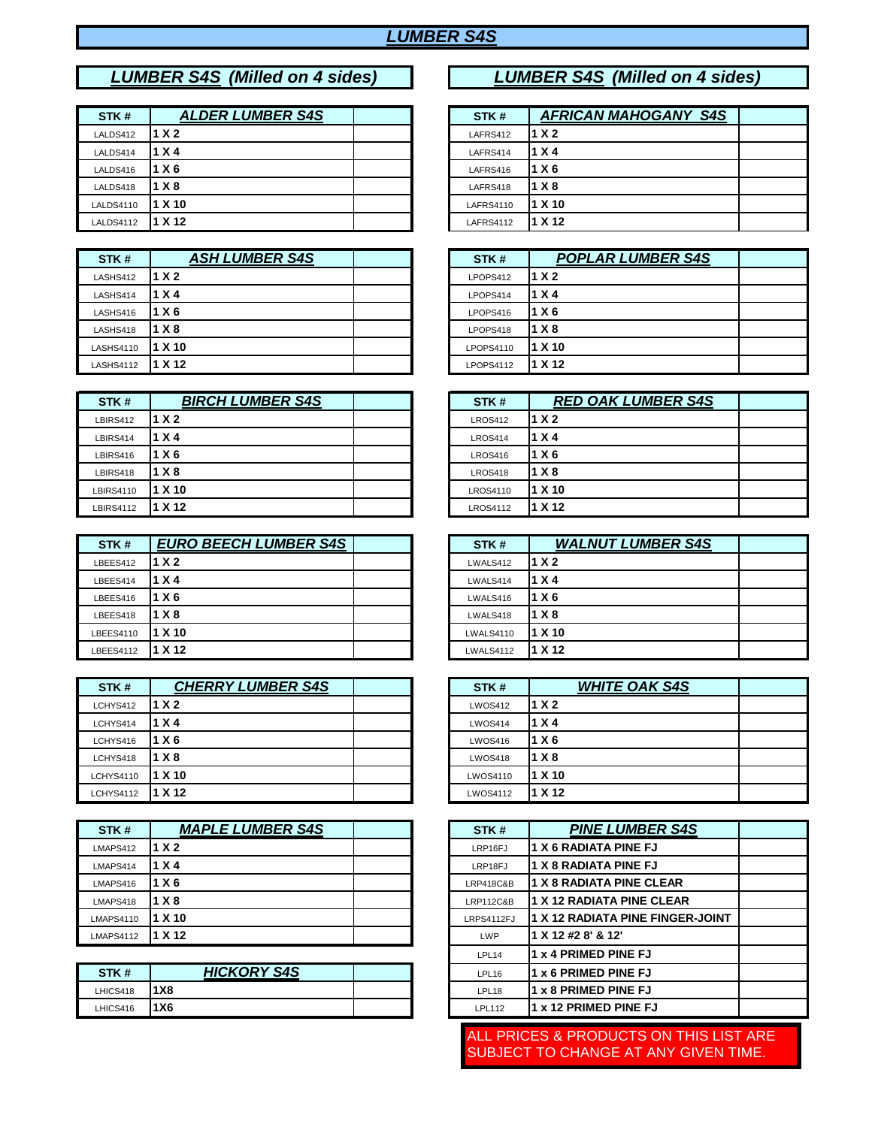## *LUMBER S4S*

# *LUMBER S4S (Milled on 4 sides)*

| STK#             | <b>ALDER LUMBER S4S</b> |  | STK#             | <b>AFRICAN MAHOGANY S4S</b> |
|------------------|-------------------------|--|------------------|-----------------------------|
| LALDS412         | 1 X 2                   |  | LAFRS412         | 1 X 2                       |
| LALDS414         | 1 X 4                   |  | LAFRS414         | 1 X 4                       |
| LALDS416         | 1 X 6                   |  | LAFRS416         | l 1 X 6                     |
| LALDS418         | 1 X 8                   |  | LAFRS418         | 1 X 8                       |
| <b>LALDS4110</b> | 1 X 10                  |  | LAFRS4110        | 1 X 10                      |
| <b>LALDS4112</b> | 1 X 12                  |  | <b>LAFRS4112</b> | 1 X 12                      |

| STK#             | <b>ASH LUMBER S4S</b> |  | STK#             | <b>POPLAR LUMBER S4S</b> |
|------------------|-----------------------|--|------------------|--------------------------|
| LASHS412         | 1 X 2                 |  | LPOPS412         | 11 X 2                   |
| LASHS414         | 1 X 4                 |  | LPOPS414         | 11 X 4                   |
| LASHS416         | 1 X 6                 |  | LPOPS416         | 11 X 6                   |
| LASHS418         | 1 X 8                 |  | LPOPS418         | 11 X 8                   |
| <b>LASHS4110</b> | 1 X 10                |  | LPOPS4110        | l1 X 10                  |
| LASHS4112        | 1 X 12                |  | <b>LPOPS4112</b> | l1 X 12                  |

| STK#             | <b>BIRCH LUMBER S4S</b> |  | STK#            | <b>RED OAK LUMBER S4S</b> |
|------------------|-------------------------|--|-----------------|---------------------------|
| LBIRS412         | 1 X 2                   |  | <b>LROS412</b>  | 1 X 2                     |
| LBIRS414         | 1 X 4                   |  | <b>LROS414</b>  | 11 X 4                    |
| LBIRS416         | 1 X 6                   |  | <b>LROS416</b>  | 11 X 6                    |
| LBIRS418         | 1 X 8                   |  | <b>LROS418</b>  | 11 X 8                    |
| <b>LBIRS4110</b> | l1 X 10                 |  | <b>LROS4110</b> | l1 X 10                   |
| <b>LBIRS4112</b> | 1 X 12                  |  | <b>LROS4112</b> | l1 X 12                   |

| STK#      | <b>EURO BEECH LUMBER S4S</b> |  | STK#             | <b>WALNUT LUMBER S4S</b> |
|-----------|------------------------------|--|------------------|--------------------------|
| LBEES412  | 1 X <sub>2</sub>             |  | LWALS412         | 1 X 2                    |
| LBEES414  | 1 X 4                        |  | LWALS414         | 1 X 4                    |
| LBEES416  | 1 X 6                        |  | LWALS416         | 1 X 6                    |
| LBEES418  | 1 X 8                        |  | LWALS418         | 1 X8                     |
| LBEES4110 | l1 X 10                      |  | <b>LWALS4110</b> | l1 X 10                  |
| LBEES4112 | 1 X 12                       |  | <b>LWALS4112</b> | 1 X 12                   |

| STK#             | <b>CHERRY LUMBER S4S</b> | STK#            | <b>WHITE OAK S4S</b> |
|------------------|--------------------------|-----------------|----------------------|
| LCHYS412         | 1 X 2                    | <b>LWOS412</b>  | 1 X 2                |
| LCHYS414         | 1 X 4                    | <b>LWOS414</b>  | 1 X 4                |
| LCHYS416         | 1 X 6                    | <b>LWOS416</b>  | 1 X 6                |
| LCHYS418         | 1 X 8                    | <b>LWOS418</b>  | 1 X 8                |
| <b>LCHYS4110</b> | 1 X 10                   | <b>LWOS4110</b> | 1 X 10               |
| <b>LCHYS4112</b> | l1 X 12                  | <b>LWOS4112</b> | 1 X 12               |

| STK#             | <b>MAPLE LUMBER S4S</b> |  | STK#                 | <b>PINE LUMBER S4S</b>            |
|------------------|-------------------------|--|----------------------|-----------------------------------|
| LMAPS412         | 1 X <sub>2</sub>        |  | LRP16FJ              | I1 X 6 RADIATA PINE FJ            |
| LMAPS414         | 1 X 4                   |  | LRP18FJ              | I1 X 8 RADIATA PINE FJ            |
| LMAPS416         | 1 X 6                   |  | LRP418C&B            | <b>11 X 8 RADIATA PINE CLEAR</b>  |
| LMAPS418         | 1 X 8                   |  | <b>LRP112C&amp;B</b> | <b>1 X 12 RADIATA PINE CLEAR</b>  |
| <b>LMAPS4110</b> | 1 X 10                  |  | LRPS4112FJ           | 11 X 12 RADIATA PINE FINGER-JOINT |
| <b>LMAPS4112</b> | I1 X 12                 |  | LWP                  | 1 X 12 #2 8' & 12'                |

| STK#     | HICKORY S4S | LPL <sub>16</sub> | l1 x 6 PRIMED PINE FJ       |
|----------|-------------|-------------------|-----------------------------|
| LHICS418 | 1X8         | LPL18             | <b>1 x 8 PRIMED PINE FJ</b> |
| LHICS416 | <b>1X6</b>  | <b>LPL112</b>     | 11 x 12 PRIMED PINE FJ      |

## *LUMBER S4S (Milled on 4 sides)*

| STK#      | <b>AFRICAN MAHOGANY S4S</b> |  |
|-----------|-----------------------------|--|
| LAFRS412  | 1 X 2                       |  |
| LAFRS414  | 1 X 4                       |  |
| LAFRS416  | 1 X 6                       |  |
| LAFRS418  | 1 X 8                       |  |
| LAFRS4110 | 1 X 10                      |  |
| LAFRS4112 | 1 X 12                      |  |

| STK#      | <b>POPLAR LUMBER S4S</b> |  |
|-----------|--------------------------|--|
| LPOPS412  | 1 X 2                    |  |
| LPOPS414  | 1 X 4                    |  |
| LPOPS416  | 1 X 6                    |  |
| LPOPS418  | 1 X 8                    |  |
| LPOPS4110 | 1 X 10                   |  |
| LPOPS4112 | 1 X 12                   |  |

| STK#            | <b>RED OAK LUMBER S4S</b> |  |
|-----------------|---------------------------|--|
| <b>LROS412</b>  | 1 X 2                     |  |
| <b>LROS414</b>  | 1 X 4                     |  |
| <b>LROS416</b>  | 1 X 6                     |  |
| LROS418         | 1 X 8                     |  |
| <b>LROS4110</b> | 1 X 10                    |  |
| <b>LROS4112</b> | 1 X 12                    |  |

| STK#             | <b>WALNUT LUMBER S4S</b> |  |
|------------------|--------------------------|--|
| LWALS412         | 1 X 2                    |  |
| LWALS414         | 1 X 4                    |  |
| LWALS416         | 1 X 6                    |  |
| LWALS418         | 1 X 8                    |  |
| <b>LWALS4110</b> | 1 X 10                   |  |
| <b>LWALS4112</b> | 1 X 12                   |  |

| STK#            | <b>WHITE OAK S4S</b> |  |
|-----------------|----------------------|--|
| <b>LWOS412</b>  | 1 X 2                |  |
| LWOS414         | 1 X 4                |  |
| LWOS416         | 1 X 6                |  |
| LWOS418         | 1 X 8                |  |
| <b>LWOS4110</b> | 1 X 10               |  |
| <b>LWOS4112</b> | 1 X 12               |  |

| STK#                 | <b>PINE LUMBER S4S</b>           |  |
|----------------------|----------------------------------|--|
| LRP16FJ              | <b>1 X 6 RADIATA PINE FJ</b>     |  |
| LRP18FJ              | <b>1 X 8 RADIATA PINE FJ</b>     |  |
| <b>LRP418C&amp;B</b> | <b>1 X 8 RADIATA PINE CLEAR</b>  |  |
| <b>LRP112C&amp;B</b> | 1 X 12 RADIATA PINE CLEAR        |  |
| LRPS4112FJ           | 1 X 12 RADIATA PINE FINGER-JOINT |  |
| LWP                  | 1 X 12 #2 8' & 12'               |  |
| LPL14                | 1 x 4 PRIMED PINE FJ             |  |
| LPL16                | 1 x 6 PRIMED PINE FJ             |  |
| LPL <sub>18</sub>    | 1 x 8 PRIMED PINE FJ             |  |
| <b>LPL112</b>        | 1 x 12 PRIMED PINE FJ            |  |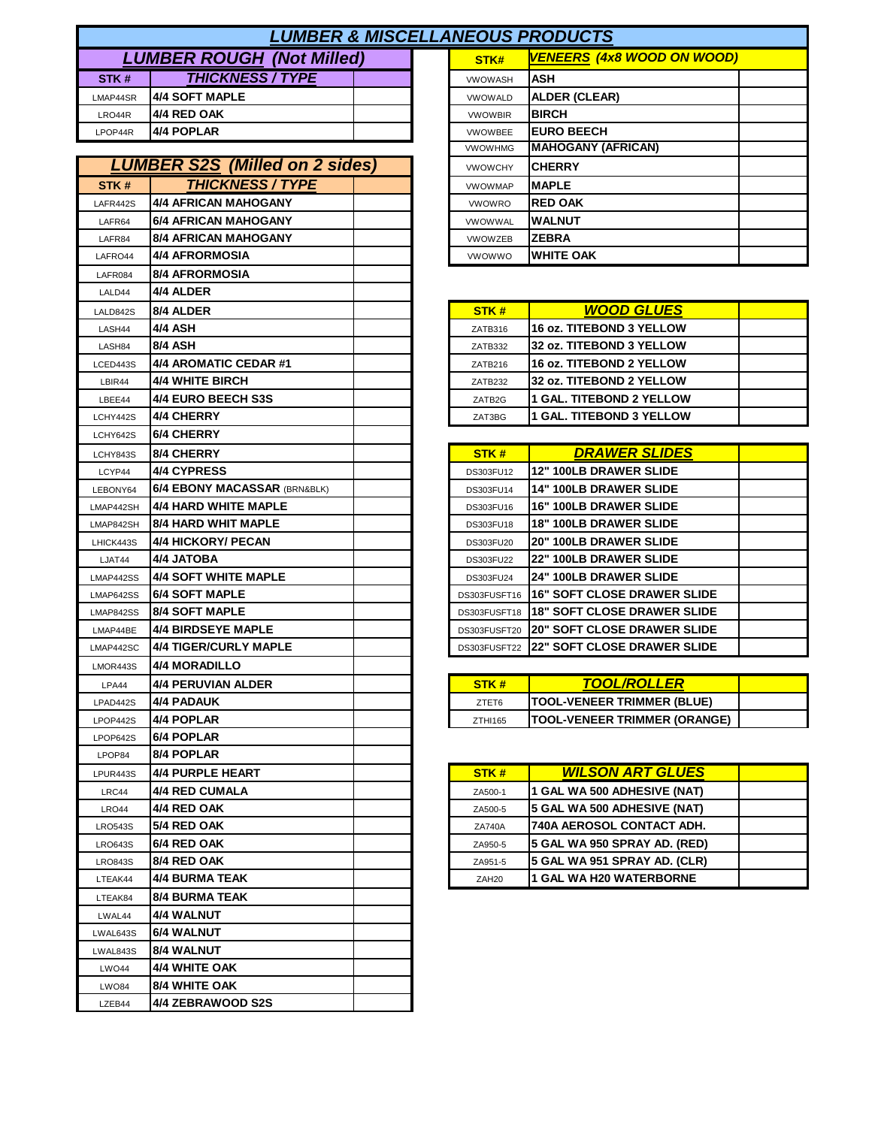|                                  | <b>LUMBER &amp; MISCELLANEOUS PRODUCTS</b> |  |                |                      |  |  |  |
|----------------------------------|--------------------------------------------|--|----------------|----------------------|--|--|--|
| <b>LUMBER ROUGH (Not Milled)</b> |                                            |  | STK#           | <b>VENEERS (4x8</b>  |  |  |  |
| STK#                             | <b>THICKNESS / TYPE</b>                    |  | <b>VWOWASH</b> | <b>ASH</b>           |  |  |  |
| LMAP44SR                         | 4/4 SOFT MAPLE                             |  | <b>VWOWALD</b> | <b>ALDER (CLEAR)</b> |  |  |  |
| LRO44R                           | 4/4 RED OAK                                |  | <b>VWOWBIR</b> | <b>BIRCH</b>         |  |  |  |
| LPOP44R                          | 4/4 POPLAR                                 |  | <b>VWOWBEE</b> | <b>EURO BEECH</b>    |  |  |  |
|                                  |                                            |  |                | ,,,,,,,,,,,,,,,,     |  |  |  |

|                  | <b>LUMBER S2S (Milled on 2 sides)</b>   | <b>VWOWCHY</b>    | <b>CHERRY</b>                       |
|------------------|-----------------------------------------|-------------------|-------------------------------------|
| STK#             | <b>THICKNESS / TYPE</b>                 | <b>VWOWMAP</b>    | <b>MAPLE</b>                        |
| LAFR442S         | <b>4/4 AFRICAN MAHOGANY</b>             | <b>VWOWRO</b>     | <b>RED OAK</b>                      |
| LAFR64           | <b>6/4 AFRICAN MAHOGANY</b>             | VWOWWAL           | WALNUT                              |
| LAFR84           | <b>8/4 AFRICAN MAHOGANY</b>             | <b>VWOWZEB</b>    | <b>ZEBRA</b>                        |
| LAFRO44          | <b>4/4 AFRORMOSIA</b>                   | <b>VWOWWO</b>     | <b>WHITE OAK</b>                    |
| LAFR084          | <b>8/4 AFRORMOSIA</b>                   |                   |                                     |
| LALD44           | 4/4 ALDER                               |                   |                                     |
| LALD842S         | 8/4 ALDER                               | STK#              | <b>WOOD GLUES</b>                   |
| LASH44           | 4/4 ASH                                 | ZATB316           | <b>16 oz. TITEBOND 3 YELLOW</b>     |
| LASH84           | 8/4 ASH                                 | ZATB332           | 32 oz. TITEBOND 3 YELLOW            |
| LCED443S         | 4/4 AROMATIC CEDAR #1                   | ZATB216           | 16 oz. TITEBOND 2 YELLOW            |
| LBIR44           | 4/4 WHITE BIRCH                         | ZATB232           | 32 oz. TITEBOND 2 YELLOW            |
| LBEE44           | 4/4 EURO BEECH S3S                      | ZATB2G            | <b>1 GAL. TITEBOND 2 YELLOW</b>     |
| LCHY442S         | 4/4 CHERRY                              | ZAT3BG            | 1 GAL. TITEBOND 3 YELLOW            |
| LCHY642S         | 6/4 CHERRY                              |                   |                                     |
| LCHY843S         | <b>8/4 CHERRY</b>                       | STK#              | <b>DRAWER SLIDES</b>                |
| LCYP44           | <b>4/4 CYPRESS</b>                      | DS303FU12         | <b>12" 100LB DRAWER SLIDE</b>       |
| LEBONY64         | <b>6/4 EBONY MACASSAR (BRN&amp;BLK)</b> | DS303FU14         | 14" 100LB DRAWER SLIDE              |
| LMAP442SH        | 4/4 HARD WHITE MAPLE                    | DS303FU16         | <b>16" 100LB DRAWER SLIDE</b>       |
| LMAP842SH        | 8/4 HARD WHIT MAPLE                     | DS303FU18         | <b>18" 100LB DRAWER SLIDE</b>       |
| LHICK443S        | <b>4/4 HICKORY/ PECAN</b>               | DS303FU20         | 20" 100LB DRAWER SLIDE              |
| LJAT44           | 4/4 JATOBA                              | DS303FU22         | <b>22" 100LB DRAWER SLIDE</b>       |
| LMAP442SS        | <b>4/4 SOFT WHITE MAPLE</b>             | DS303FU24         | 24" 100LB DRAWER SLIDE              |
| LMAP642SS        | <b>6/4 SOFT MAPLE</b>                   | DS303FUSFT16      | 16" SOFT CLOSE DRAWER SLIDE         |
| <b>LMAP842SS</b> | <b>8/4 SOFT MAPLE</b>                   | DS303FUSFT18      | <b>18" SOFT CLOSE DRAWER SLIDE</b>  |
| LMAP44BE         | <b>4/4 BIRDSEYE MAPLE</b>               | DS303FUSFT20      | <b>20" SOFT CLOSE DRAWER SLIDE</b>  |
| LMAP442SC        | <b>4/4 TIGER/CURLY MAPLE</b>            | DS303FUSFT22      | <b>22" SOFT CLOSE DRAWER SLIDE</b>  |
| LMOR443S         | 4/4 MORADILLO                           |                   |                                     |
| LPA44            | <b>4/4 PERUVIAN ALDER</b>               | STK#              | <b>TOOL/ROLLER</b>                  |
| LPAD442S         | 4/4 PADAUK                              | ZTET6             | <b>TOOL-VENEER TRIMMER (BLUE)</b>   |
| LPOP442S         | 4/4 POPLAR                              | ZTHI165           | <b>TOOL-VENEER TRIMMER (ORANGE)</b> |
| LPOP642S         | 6/4 POPLAR                              |                   |                                     |
| LPOP84           | 8/4 POPLAR                              |                   |                                     |
| LPUR443S         | <b>4/4 PURPLE HEART</b>                 | STK#              | <b>WILSON ART GLUES</b>             |
| LRC44            | 4/4 RED CUMALA                          | ZA500-1           | <b>1 GAL WA 500 ADHESIVE (NAT)</b>  |
| <b>LRO44</b>     | 4/4 RED OAK                             | ZA500-5           | 5 GAL WA 500 ADHESIVE (NAT)         |
| <b>LRO543S</b>   | 5/4 RED OAK                             | <b>ZA740A</b>     | 740A AEROSOL CONTACT ADH.           |
| <b>LRO643S</b>   | 6/4 RED OAK                             | ZA950-5           | 5 GAL WA 950 SPRAY AD. (RED)        |
| <b>LRO843S</b>   | <b>8/4 RED OAK</b>                      | ZA951-5           | 5 GAL WA 951 SPRAY AD. (CLR)        |
| LTEAK44          | 4/4 BURMA TEAK                          | ZAH <sub>20</sub> | 1 GAL WA H20 WATERBORNE             |
| LTEAK84          | <b>8/4 BURMA TEAK</b>                   |                   |                                     |
| LWAL44           | 4/4 WALNUT                              |                   |                                     |
| LWAL643S         | 6/4 WALNUT                              |                   |                                     |
| LWAL843S         | 8/4 WALNUT                              |                   |                                     |
| LWO44            | 4/4 WHITE OAK                           |                   |                                     |
| <b>LWO84</b>     | 8/4 WHITE OAK                           |                   |                                     |
| LZEB44           | 4/4 ZEBRAWOOD S2S                       |                   |                                     |
|                  |                                         |                   |                                     |

| <b>INEOUS PRODUCTS</b> |                                   |  |  |  |
|------------------------|-----------------------------------|--|--|--|
| STK#                   | <b>VENEERS (4x8 WOOD ON WOOD)</b> |  |  |  |
| <b>VWOWASH</b>         | ASH                               |  |  |  |
| <b>VWOWALD</b>         | <b>ALDER (CLEAR)</b>              |  |  |  |
| <b>VWOWBIR</b>         | <b>BIRCH</b>                      |  |  |  |
| <b>VWOWBEE</b>         | <b>EURO BEECH</b>                 |  |  |  |
| <b>VWOWHMG</b>         | <b>MAHOGANY (AFRICAN)</b>         |  |  |  |
| <b>VWOWCHY</b>         | <b>CHERRY</b>                     |  |  |  |
| <b>VWOWMAP</b>         | <b>MAPLE</b>                      |  |  |  |
| <b>VWOWRO</b>          | <b>RED OAK</b>                    |  |  |  |
| <b>VWOWWAL</b>         | <b>WALNUT</b>                     |  |  |  |
| <b>VWOWZEB</b>         | <b>ZEBRA</b>                      |  |  |  |
| <b>VWOWWO</b>          | <b>WHITE OAK</b>                  |  |  |  |

| STK#                | <b>WOOD GLUES</b>               |  |
|---------------------|---------------------------------|--|
| ZATB316             | 16 oz. TITEBOND 3 YELLOW        |  |
| ZATB332             | 32 oz. TITEBOND 3 YELLOW        |  |
| ZATB216             | 16 oz. TITEBOND 2 YELLOW        |  |
| ZATB <sub>232</sub> | 32 oz. TITEBOND 2 YELLOW        |  |
| ZATB <sub>2G</sub>  | <b>1 GAL. TITEBOND 2 YELLOW</b> |  |
| ZAT3BG              | <b>1 GAL. TITEBOND 3 YELLOW</b> |  |

| STK#             | <b>DRAWER SLIDES</b>               |  |
|------------------|------------------------------------|--|
| DS303FU12        | <b>12" 100LB DRAWER SLIDE</b>      |  |
| DS303FU14        | <b>14" 100LB DRAWER SLIDE</b>      |  |
| DS303FU16        | <b>16" 100LB DRAWER SLIDE</b>      |  |
| DS303FU18        | <b>18" 100LB DRAWER SLIDE</b>      |  |
| DS303FU20        | <b>20" 100LB DRAWER SLIDE</b>      |  |
| <b>DS303FU22</b> | <b>22" 100LB DRAWER SLIDE</b>      |  |
| DS303FU24        | <b>24" 100LB DRAWER SLIDE</b>      |  |
| DS303FUSFT16     | <b>16" SOFT CLOSE DRAWER SLIDE</b> |  |
| DS303FUSFT18     | <b>18" SOFT CLOSE DRAWER SLIDE</b> |  |
| DS303FUSFT20     | <b>20" SOFT CLOSE DRAWER SLIDE</b> |  |
| DS303FUSFT22     | <b>22" SOFT CLOSE DRAWER SLIDE</b> |  |

| STK #        | <b>TOOL/ROLLER</b>                  |  |
|--------------|-------------------------------------|--|
| <b>ZTET6</b> | <b>TOOL-VENEER TRIMMER (BLUE)</b>   |  |
| 7TH1165      | <b>TOOL-VENEER TRIMMER (ORANGE)</b> |  |

| STK#              | <b>WILSON ART GLUES</b>        |  |
|-------------------|--------------------------------|--|
| ZA500-1           | 1 GAL WA 500 ADHESIVE (NAT)    |  |
| ZA500-5           | 5 GAL WA 500 ADHESIVE (NAT)    |  |
| <b>ZA740A</b>     | 740A AEROSOL CONTACT ADH.      |  |
| ZA950-5           | 5 GAL WA 950 SPRAY AD. (RED)   |  |
| ZA951-5           | 5 GAL WA 951 SPRAY AD. (CLR)   |  |
| ZAH <sub>20</sub> | <b>1 GAL WA H20 WATERBORNE</b> |  |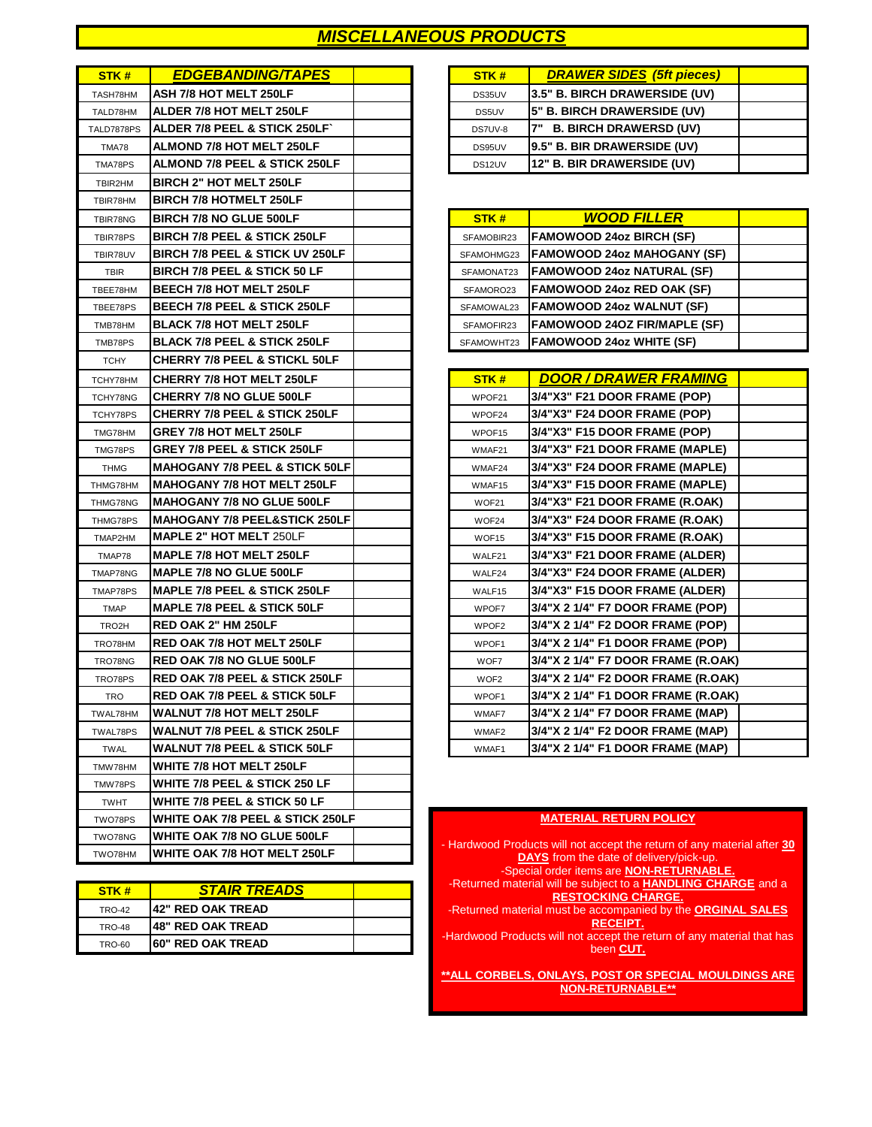## *MISCELLANEOUS PRODUCTS*

| STK#               | <b>EDGEBANDING/TAPES</b>                  | STK#              | <b>DRAWER SIDES (5ft pieces)</b>                           |
|--------------------|-------------------------------------------|-------------------|------------------------------------------------------------|
| TASH78HM           | ASH 7/8 HOT MELT 250LF                    | DS35UV            | 3.5" B. BIRCH DRAWERSIDE (UV)                              |
| TALD78HM           | ALDER 7/8 HOT MELT 250LF                  | DS5UV             | 5" B. BIRCH DRAWERSIDE (UV)                                |
| TALD7878PS         | ALDER 7/8 PEEL & STICK 250LF              | DS7UV-8           | 7" B. BIRCH DRAWERSD (UV)                                  |
| TMA78              | <b>ALMOND 7/8 HOT MELT 250LF</b>          | DS95UV            | 9.5" B. BIR DRAWERSIDE (UV)                                |
| TMA78PS            | <b>ALMOND 7/8 PEEL &amp; STICK 250LF</b>  | DS12UV            | 12" B. BIR DRAWERSIDE (UV)                                 |
| TBIR2HM            | <b>BIRCH 2" HOT MELT 250LF</b>            |                   |                                                            |
| TBIR78HM           | <b>BIRCH 7/8 HOTMELT 250LF</b>            |                   |                                                            |
| TBIR78NG           | <b>BIRCH 7/8 NO GLUE 500LF</b>            | STK#              | <b>WOOD FILLER</b>                                         |
| TBIR78PS           | <b>BIRCH 7/8 PEEL &amp; STICK 250LF</b>   | SFAMOBIR23        | <b>FAMOWOOD 24oz BIRCH (SF)</b>                            |
| TBIR78UV           | BIRCH 7/8 PEEL & STICK UV 250LF           | SFAMOHMG23        | <b>FAMOWOOD 24oz MAHOGANY (SF)</b>                         |
| <b>TBIR</b>        | <b>BIRCH 7/8 PEEL &amp; STICK 50 LF</b>   | SFAMONAT23        | <b>FAMOWOOD 24oz NATURAL (SF)</b>                          |
| TBEE78HM           | <b>BEECH 7/8 HOT MELT 250LF</b>           | SFAMORO23         | FAMOWOOD 24oz RED OAK (SF)                                 |
| TBEE78PS           | BEECH 7/8 PEEL & STICK 250LF              | SFAMOWAL23        | <b>FAMOWOOD 24oz WALNUT (SF)</b>                           |
| TMB78HM            | <b>BLACK 7/8 HOT MELT 250LF</b>           | SFAMOFIR23        | <b>FAMOWOOD 240Z FIR/MAPLE (SF)</b>                        |
| TMB78PS            | <b>BLACK 7/8 PEEL &amp; STICK 250LF</b>   | SFAMOWHT23        | <b>FAMOWOOD 24oz WHITE (SF)</b>                            |
| <b>TCHY</b>        | CHERRY 7/8 PEEL & STICKL 50LF             |                   |                                                            |
| TCHY78HM           | <b>CHERRY 7/8 HOT MELT 250LF</b>          | STK#              | <b>DOOR / DRAWER FRAMING</b>                               |
| TCHY78NG           | <b>CHERRY 7/8 NO GLUE 500LF</b>           | WPOF21            | 3/4"X3" F21 DOOR FRAME (POP)                               |
| TCHY78PS           | <b>CHERRY 7/8 PEEL &amp; STICK 250LF</b>  | WPOF24            | 3/4"X3" F24 DOOR FRAME (POP)                               |
| TMG78HM            | <b>GREY 7/8 HOT MELT 250LF</b>            | WPOF15            | 3/4"X3" F15 DOOR FRAME (POP)                               |
| TMG78PS            | <b>GREY 7/8 PEEL &amp; STICK 250LF</b>    | WMAF21            | 3/4"X3" F21 DOOR FRAME (MAPLE)                             |
| <b>THMG</b>        | <b>MAHOGANY 7/8 PEEL &amp; STICK 50LF</b> | WMAF24            | 3/4"X3" F24 DOOR FRAME (MAPLE)                             |
| THMG78HM           | <b>MAHOGANY 7/8 HOT MELT 250LF</b>        | WMAF15            | 3/4"X3" F15 DOOR FRAME (MAPLE)                             |
| THMG78NG           | <b>MAHOGANY 7/8 NO GLUE 500LF</b>         | WOF21             | 3/4"X3" F21 DOOR FRAME (R.OAK)                             |
| THMG78PS           | <b>MAHOGANY 7/8 PEEL&amp;STICK 250LF</b>  | WOF24             | 3/4"X3" F24 DOOR FRAME (R.OAK)                             |
| TMAP2HM            | <b>MAPLE 2" HOT MELT 250LF</b>            | WOF15             | 3/4"X3" F15 DOOR FRAME (R.OAK)                             |
| TMAP78             | <b>MAPLE 7/8 HOT MELT 250LF</b>           | WALF21            | 3/4"X3" F21 DOOR FRAME (ALDER)                             |
| TMAP78NG           | <b>MAPLE 7/8 NO GLUE 500LF</b>            | WALF24            | 3/4"X3" F24 DOOR FRAME (ALDER)                             |
| TMAP78PS           | MAPLE 7/8 PEEL & STICK 250LF              | WALF15            | 3/4"X3" F15 DOOR FRAME (ALDER)                             |
| <b>TMAP</b>        | <b>MAPLE 7/8 PEEL &amp; STICK 50LF</b>    | WPOF7             | 3/4"X 2 1/4" F7 DOOR FRAME (POP)                           |
| TRO <sub>2</sub> H | <b>RED OAK 2" HM 250LF</b>                | WPOF <sub>2</sub> | 3/4"X 2 1/4" F2 DOOR FRAME (POP)                           |
| TRO78HM            | <b>RED OAK 7/8 HOT MELT 250LF</b>         | WPOF1             | 3/4"X 2 1/4" F1 DOOR FRAME (POP)                           |
| TRO78NG            | <b>RED OAK 7/8 NO GLUE 500LF</b>          | WOF7              | 3/4"X 2 1/4" F7 DOOR FRAME (R.OAK)                         |
| TRO78PS            | <b>RED OAK 7/8 PEEL &amp; STICK 250LF</b> | WOF <sub>2</sub>  | 3/4"X 2 1/4" F2 DOOR FRAME (R.OAK)                         |
| <b>TRO</b>         | <b>RED OAK 7/8 PEEL &amp; STICK 50LF</b>  | WPOF1             | 3/4"X 2 1/4" F1 DOOR FRAME (R.OAK)                         |
| TWAL78HM           | <b>WALNUT 7/8 HOT MELT 250LF</b>          | WMAF7             | 3/4"X 2 1/4" F7 DOOR FRAME (MAP)                           |
| TWAL78PS           | WALNUT 7/8 PEEL & STICK 250LF             | WMAF2             | 3/4"X 2 1/4" F2 DOOR FRAME (MAP)                           |
| <b>TWAL</b>        | <b>WALNUT 7/8 PEEL &amp; STICK 50LF</b>   | WMAF1             | 3/4"X 2 1/4" F1 DOOR FRAME (MAP)                           |
| TMW78HM            | WHITE 7/8 HOT MELT 250LF                  |                   |                                                            |
| TMW78PS            | WHITE 7/8 PEEL & STICK 250 LF             |                   |                                                            |
| <b>TWHT</b>        | WHITE 7/8 PEEL & STICK 50 LF              |                   |                                                            |
| TWO78PS            | WHITE OAK 7/8 PEEL & STICK 250LF          |                   | <b>MATERIAL RETURN POLICY</b>                              |
| TWO78NG            | WHITE OAK 7/8 NO GLUE 500LF               |                   | - Hardwood Products will not accept the return of any mate |
| TWO78HM            | WHITE OAK 7/8 HOT MELT 250LF              |                   | <b>DAYS</b> from the date of delivery/pick-up.             |

| STK#          | <b>STAIR TREADS</b>       |  |
|---------------|---------------------------|--|
| <b>TRO-42</b> | <b>142" RED OAK TREAD</b> |  |
| <b>TRO-48</b> | <b>148" RED OAK TREAD</b> |  |
| OA-OST        | <b>160" RED OAK TREAD</b> |  |

| STK#    | <b>DRAWER SIDES (5ft pieces)</b> |  |
|---------|----------------------------------|--|
| DS35UV  | 3.5" B. BIRCH DRAWERSIDE (UV)    |  |
| DS5UV   | 5" B. BIRCH DRAWERSIDE (UV)      |  |
| DS7UV-8 | 7" B. BIRCH DRAWERSD (UV)        |  |
| DS95UV  | 9.5" B. BIR DRAWERSIDE (UV)      |  |
| DS12UV  | 12" B. BIR DRAWERSIDE (UV)       |  |

| STK#       | <b>WOOD FILLER</b>                  |  |
|------------|-------------------------------------|--|
| SFAMOBIR23 | <b>FAMOWOOD 24oz BIRCH (SF)</b>     |  |
| SFAMOHMG23 | <b>FAMOWOOD 24oz MAHOGANY (SF)</b>  |  |
| SFAMONAT23 | <b>FAMOWOOD 24oz NATURAL (SF)</b>   |  |
| SFAMORO23  | <b>FAMOWOOD 24oz RED OAK (SF)</b>   |  |
| SFAMOWAL23 | FAMOWOOD 24oz WALNUT (SF)           |  |
| SFAMOFIR23 | <b>FAMOWOOD 240Z FIR/MAPLE (SF)</b> |  |
| SFAMOWHT23 | <b>FAMOWOOD 24oz WHITE (SF)</b>     |  |

| STK#              | <b>DOOR / DRAWER FRAMING</b>       |  |
|-------------------|------------------------------------|--|
| WPOF21            | 3/4"X3" F21 DOOR FRAME (POP)       |  |
| WPOF24            | 3/4"X3" F24 DOOR FRAME (POP)       |  |
| WPOF15            | 3/4"X3" F15 DOOR FRAME (POP)       |  |
| WMAF21            | 3/4"X3" F21 DOOR FRAME (MAPLE)     |  |
| WMAF24            | 3/4"X3" F24 DOOR FRAME (MAPLE)     |  |
| WMAF15            | 3/4"X3" F15 DOOR FRAME (MAPLE)     |  |
| WOF21             | 3/4"X3" F21 DOOR FRAME (R.OAK)     |  |
| WOF24             | 3/4"X3" F24 DOOR FRAME (R.OAK)     |  |
| WOF15             | 3/4"X3" F15 DOOR FRAME (R.OAK)     |  |
| WALF21            | 3/4"X3" F21 DOOR FRAME (ALDER)     |  |
| WALF24            | 3/4"X3" F24 DOOR FRAME (ALDER)     |  |
| WALF15            | 3/4"X3" F15 DOOR FRAME (ALDER)     |  |
| WPOF7             | 3/4"X 2 1/4" F7 DOOR FRAME (POP)   |  |
| WPOF <sub>2</sub> | 3/4"X 2 1/4" F2 DOOR FRAME (POP)   |  |
| WPOF1             | 3/4"X 2 1/4" F1 DOOR FRAME (POP)   |  |
| WOF7              | 3/4"X 2 1/4" F7 DOOR FRAME (R.OAK) |  |
| WOF <sub>2</sub>  | 3/4"X 2 1/4" F2 DOOR FRAME (R.OAK) |  |
| WPOF1             | 3/4"X 2 1/4" F1 DOOR FRAME (R.OAK) |  |
| WMAF7             | 3/4"X 2 1/4" F7 DOOR FRAME (MAP)   |  |
| WMAF2             | 3/4"X 2 1/4" F2 DOOR FRAME (MAP)   |  |
| WMAF1             | 3/4"X 2 1/4" F1 DOOR FRAME (MAP)   |  |

#### **MATERIAL RETURN POLICY**

- Hardwood Products will not accept the return of any material after **30 DAYS** from the date of delivery/pick-up. -Special order items are **NON-RETURNABLE.** -Returned material will be subject to a **HANDLING CHARGE** and a **RESTOCKING CHARGE.** -Returned material must be accompanied by the **ORGINAL SALES RECEIPT.** -Hardwood Products will not accept the return of any material that has been **CUT. \*\*ALL CORBELS, ONLAYS, POST OR SPECIAL MOULDINGS ARE** 

**NON-RETURNABLE\*\***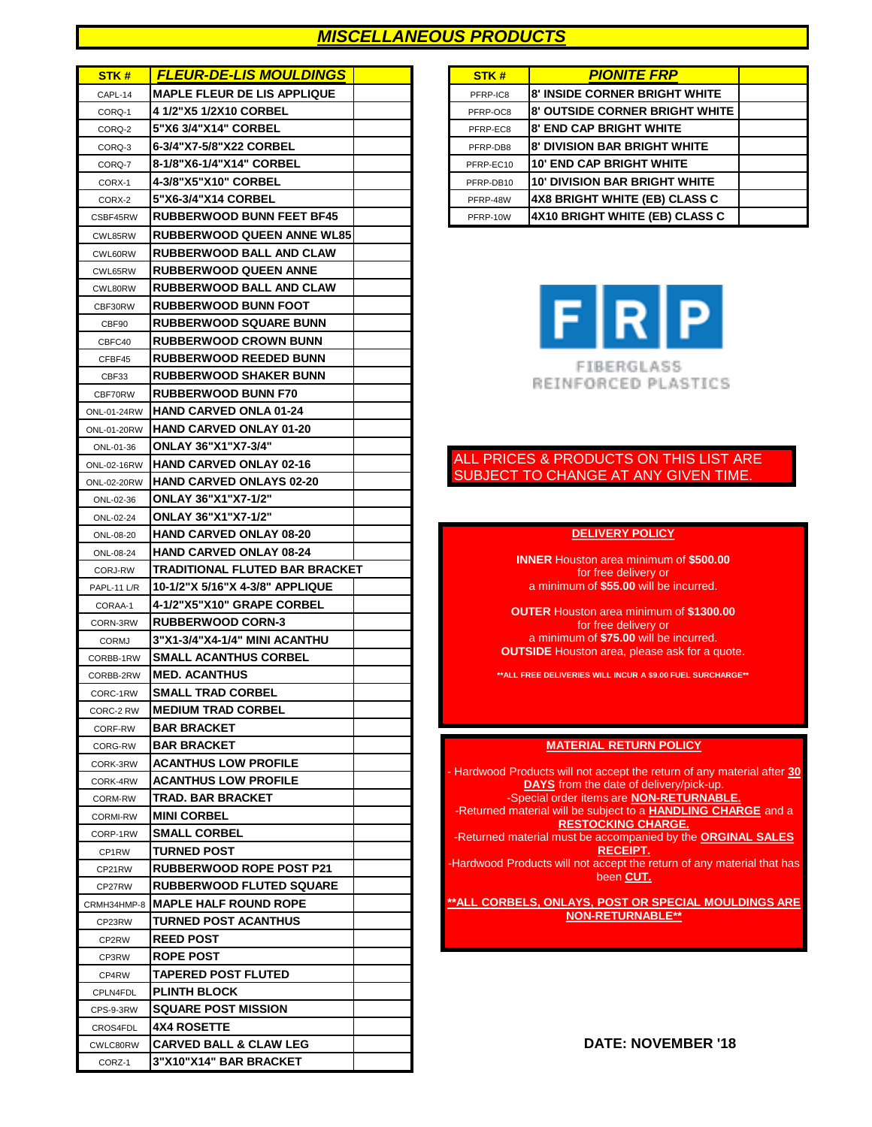### *MISCELLANEOUS PRODUCTS*

| STK#                 | <b>FLEUR-DE-LIS MOULDINGS</b>                         |  | STK#      | <b>PIONITE FRP</b>                                                                           |
|----------------------|-------------------------------------------------------|--|-----------|----------------------------------------------------------------------------------------------|
| CAPL-14              | <b>MAPLE FLEUR DE LIS APPLIQUE</b>                    |  | PFRP-IC8  | 8' INSIDE CORNER BRIGHT WHITE                                                                |
| CORQ-1               | 4 1/2"X5 1/2X10 CORBEL                                |  | PFRP-OC8  | <b>8' OUTSIDE CORNER BRIGHT WHITE</b>                                                        |
| CORQ-2               | 5"X6 3/4"X14" CORBEL                                  |  | PFRP-EC8  | <b>8' END CAP BRIGHT WHITE</b>                                                               |
| CORQ-3               | 6-3/4"X7-5/8"X22 CORBEL                               |  | PFRP-DB8  | <b>8' DIVISION BAR BRIGHT WHITE</b>                                                          |
| CORQ-7               | 8-1/8"X6-1/4"X14" CORBEL                              |  | PFRP-EC10 | <b>10' END CAP BRIGHT WHITE</b>                                                              |
| CORX-1               | 4-3/8"X5"X10" CORBEL                                  |  | PFRP-DB10 | <b>10' DIVISION BAR BRIGHT WHITE</b>                                                         |
| CORX-2               | 5"X6-3/4"X14 CORBEL                                   |  | PFRP-48W  | 4X8 BRIGHT WHITE (EB) CLASS C                                                                |
| CSBF45RW             | <b>RUBBERWOOD BUNN FEET BF45</b>                      |  | PFRP-10W  | 4X10 BRIGHT WHITE (EB) CLASS C                                                               |
| CWL85RW              | <b>RUBBERWOOD QUEEN ANNE WL85</b>                     |  |           |                                                                                              |
| CWL60RW              | <b>RUBBERWOOD BALL AND CLAW</b>                       |  |           |                                                                                              |
| CWL65RW              | <b>RUBBERWOOD QUEEN ANNE</b>                          |  |           |                                                                                              |
| CWL80RW              | <b>RUBBERWOOD BALL AND CLAW</b>                       |  |           |                                                                                              |
| CBF30RW              | <b>RUBBERWOOD BUNN FOOT</b>                           |  |           |                                                                                              |
| CBF90                | <b>RUBBERWOOD SQUARE BUNN</b>                         |  |           | F[R]P                                                                                        |
| CBFC40               | <b>RUBBERWOOD CROWN BUNN</b>                          |  |           |                                                                                              |
| CFBF45               | <b>RUBBERWOOD REEDED BUNN</b>                         |  |           |                                                                                              |
| CBF33                | <b>RUBBERWOOD SHAKER BUNN</b>                         |  |           | FIBERGLASS<br>REINFORCED PLASTICS                                                            |
| CBF70RW              | <b>RUBBERWOOD BUNN F70</b>                            |  |           |                                                                                              |
| ONL-01-24RW          | HAND CARVED ONLA 01-24                                |  |           |                                                                                              |
| ONL-01-20RW          | <b>HAND CARVED ONLAY 01-20</b>                        |  |           |                                                                                              |
| ONL-01-36            | <b>ONLAY 36"X1"X7-3/4"</b>                            |  |           |                                                                                              |
| ONL-02-16RW          | <b>HAND CARVED ONLAY 02-16</b>                        |  |           | ALL PRICES & PRODUCTS ON THIS LIST                                                           |
| ONL-02-20RW          | <b>HAND CARVED ONLAYS 02-20</b>                       |  |           | SUBJECT TO CHANGE AT ANY GIVEN TIN                                                           |
| ONL-02-36            | <b>ONLAY 36"X1"X7-1/2"</b>                            |  |           |                                                                                              |
| ONL-02-24            | <b>ONLAY 36"X1"X7-1/2"</b>                            |  |           |                                                                                              |
| ONL-08-20            | <b>HAND CARVED ONLAY 08-20</b>                        |  |           | <b>DELIVERY POLICY</b>                                                                       |
| ONL-08-24            | <b>HAND CARVED ONLAY 08-24</b>                        |  |           | <b>INNER</b> Houston area minimum of \$500.00                                                |
| CORJ-RW              | TRADITIONAL FLUTED BAR BRACKET                        |  |           | for free delivery or                                                                         |
| PAPL-11 L/R          | 10-1/2"X 5/16"X 4-3/8" APPLIQUE                       |  |           | a minimum of \$55.00 will be incurred.                                                       |
| CORAA-1              | 4-1/2"X5"X10" GRAPE CORBEL                            |  |           | <b>OUTER Houston area minimum of \$1300.00</b>                                               |
| CORN-3RW             | <b>RUBBERWOOD CORN-3</b>                              |  |           | for free delivery or                                                                         |
| <b>CORMJ</b>         | 3"X1-3/4"X4-1/4" MINI ACANTHU                         |  |           | a minimum of \$75.00 will be incurred.<br><b>OUTSIDE</b> Houston area, please ask for a quot |
| CORBB-1RW            | <b>SMALL ACANTHUS CORBEL</b>                          |  |           |                                                                                              |
| CORBB-2RW            | <b>MED. ACANTHUS</b>                                  |  |           | ** ALL FREE DELIVERIES WILL INCUR A \$9.00 FUEL SURCHAR                                      |
| CORC-1RW             | <b>SMALL TRAD CORBEL</b><br><b>MEDIUM TRAD CORBEL</b> |  |           |                                                                                              |
| CORC-2 RW            | <b>BAR BRACKET</b>                                    |  |           |                                                                                              |
| CORF-RW              | <b>BAR BRACKET</b>                                    |  |           |                                                                                              |
| CORG-RW              | <b>ACANTHUS LOW PROFILE</b>                           |  |           | <b>MATERIAL RETURN POLICY</b>                                                                |
| CORK-3RW<br>CORK-4RW | <b>ACANTHUS LOW PROFILE</b>                           |  |           | Hardwood Products will not accept the return of any ma                                       |
| CORM-RW              | <b>TRAD. BAR BRACKET</b>                              |  |           | <b>DAYS</b> from the date of delivery/pick-up.<br>-Special order items are NON-RETURNABLI    |
| CORMI-RW             | <b>MINI CORBEL</b>                                    |  |           | -Returned material will be subject to a <b>HANDLING CHA</b>                                  |
| CORP-1RW             | <b>SMALL CORBEL</b>                                   |  |           | <b>RESTOCKING CHARGE.</b>                                                                    |
| CP1RW                | <b>TURNED POST</b>                                    |  |           | -Returned material must be accompanied by the ORGII<br><b>RECEIPT.</b>                       |
| CP21RW               | <b>RUBBERWOOD ROPE POST P21</b>                       |  |           | -Hardwood Products will not accept the return of any mat                                     |
| CP27RW               | <b>RUBBERWOOD FLUTED SQUARE</b>                       |  |           | been CUT.                                                                                    |
| CRMH34HMP-8          | <b>MAPLE HALF ROUND ROPE</b>                          |  |           | <u>**ALL CORBELS, ONLAYS, POST OR SPECIAL MOUI</u>                                           |
| CP23RW               | <b>TURNED POST ACANTHUS</b>                           |  |           | <b>NON-RETURNABLE**</b>                                                                      |
| CP2RW                | <b>REED POST</b>                                      |  |           |                                                                                              |
| CP3RW                | <b>ROPE POST</b>                                      |  |           |                                                                                              |
| CP4RW                | <b>TAPERED POST FLUTED</b>                            |  |           |                                                                                              |
| CPLN4FDL             | <b>PLINTH BLOCK</b>                                   |  |           |                                                                                              |
| CPS-9-3RW            | <b>SQUARE POST MISSION</b>                            |  |           |                                                                                              |
| CROS4FDL             | <b>4X4 ROSETTE</b>                                    |  |           |                                                                                              |
| CWLC80RW             | <b>CARVED BALL &amp; CLAW LEG</b>                     |  |           | DATE: NOVEMBER '18                                                                           |
| CORZ-1               | 3"X10"X14" BAR BRACKET                                |  |           |                                                                                              |

| STK#      | <b>PIONITE FRP</b>                    |  |
|-----------|---------------------------------------|--|
| PFRP-IC8  | <b>8' INSIDE CORNER BRIGHT WHITE</b>  |  |
| PFRP-OC8  | <b>8' OUTSIDE CORNER BRIGHT WHITE</b> |  |
| PFRP-EC8  | <b>8' END CAP BRIGHT WHITE</b>        |  |
| PFRP-DB8  | <b>8' DIVISION BAR BRIGHT WHITE</b>   |  |
| PFRP-EC10 | <b>10' END CAP BRIGHT WHITE</b>       |  |
| PFRP-DB10 | <b>10' DIVISION BAR BRIGHT WHITE</b>  |  |
| PFRP-48W  | <b>4X8 BRIGHT WHITE (EB) CLASS C</b>  |  |
| PFRP-10W  | 4X10 BRIGHT WHITE (EB) CLASS C        |  |



#### ALL PRICES & PRODUCTS ON THIS LIST ARE SUBJECT TO CHANGE AT ANY GIVEN TIME.

#### **DELIVERY POLICY**

**\*\*ALL FREE DELIVERIES WILL INCUR A \$9.00 FUEL SURCHARGE\*\***

#### **MATERIAL RETURN POLICY**

- Hardwood Products will not accept the return of any material after **30 DAYS** from the date of delivery/pick-up. -Special order items are **NON-RETURNABLE.** -Returned material will be subject to a **HANDLING CHARGE** and a **RESTOCKING CHARGE.** -Returned material must be accompanied by the **ORGINAL SALES RECEIPT.** -Hardwood Products will not accept the return of any material that has been **CUT. \*\*ALL CORBELS, ONLAYS, POST OR SPECIAL MOULDINGS ARE NON-RETURNABLE\*\***